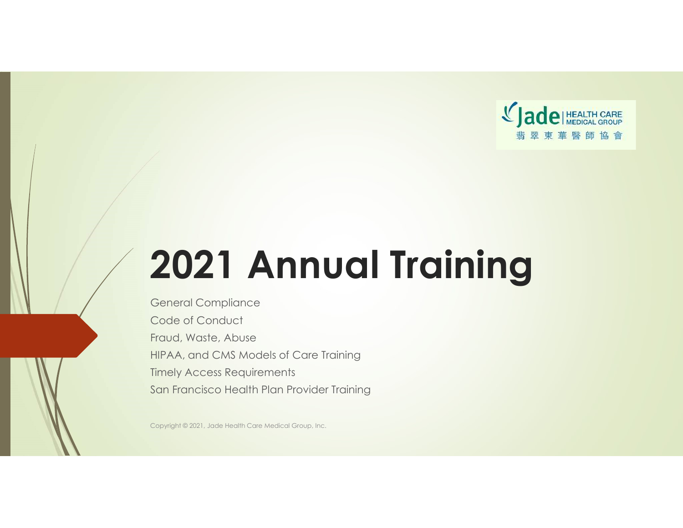

# 2021 Annual Training

General Compliance Code of Conduct Fraud, Waste, Abuse HIPAA, and CMS Models of Care Training Timely Access Requirements San Francisco Health Plan Provider Training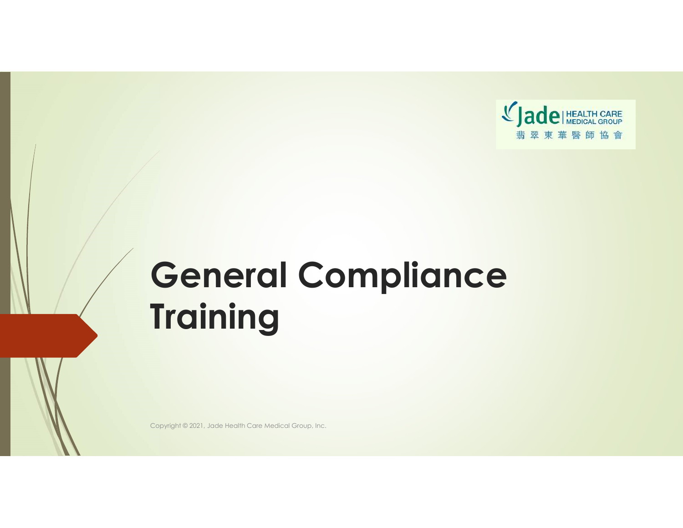

## General Compliance **Training**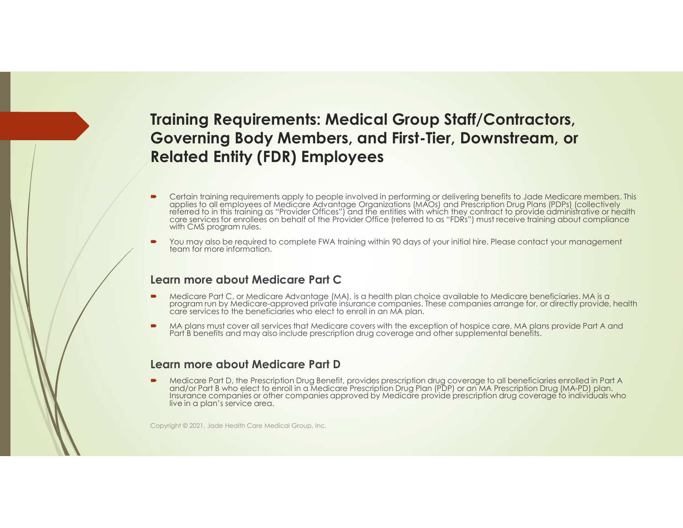### Training Requirements: Medical Group Staff/Contractors, Governing Body Members, and First-Tier, Downstream, or Related Entity (FDR) Employees

- Certain training requirements apply to people involved in performing or delivering benefits to Jade Medicare members. This applies to all employees of Medicare Advantage Organizations (MAOs) and Prescription Drug Plans (PD
- You may also be required to complete FWA training within 90 days of your initial hire. Please contact your management<br>team for more information.

### Learn more about Medicare Part C

- Medicare Part C, or Medicare Advantage (MA), is a health plan choice available to Medicare beneficiaries. MA is a<br>program run by Medicare-approved private insurance companies. These companies arrange for, or directly provi
- MA plans must cover all services that Medicare covers with the exception of hospice care. MA plans provide Part A and Part B benefits and may also include prescription drug coverage and other supplemental benefits.

### Learn more about Medicare Part D

Medicare Part D, the Prescription Drug Benefit, provides prescription drug coverage to all beneficiaries enrolled in Part A and/or Part B who elect to enroll in a Medicare Prescription Drug Plan (PDP) or an MA Prescription Insurance companies or other companies approved by Medicare provide prescription drug coverage to individuals who live in a plan's service area.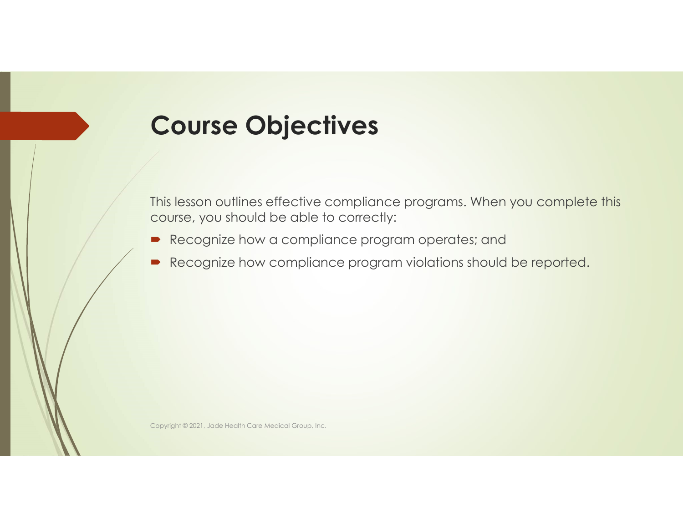## Course Objectives

This lesson outlines effective compliance programs. When you complete this course, you should be able to correctly:

- Recognize how a compliance program operates; and
- Recognize how compliance program violations should be reported.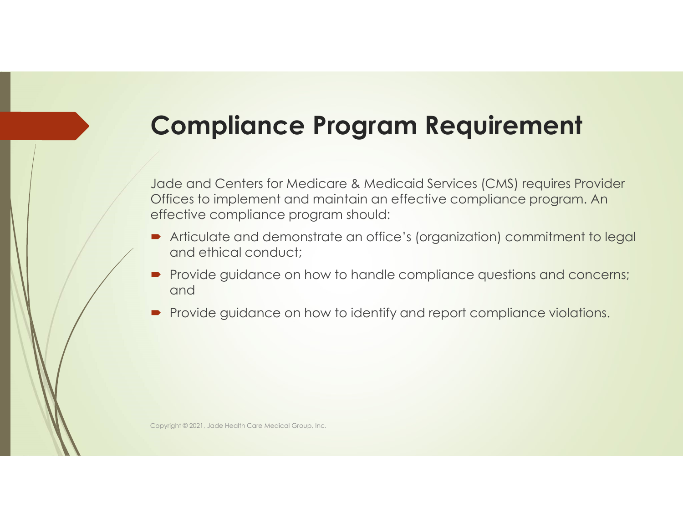## Compliance Program Requirement

Jade and Centers for Medicare & Medicaid Services (CMS) requires Provider Offices to implement and maintain an effective compliance program. An effective compliance program should:

- Articulate and demonstrate an office's (organization) commitment to legal and ethical conduct;
- **Provide guidance on how to handle compliance questions and concerns;** and
- **Provide guidance on how to identify and report compliance violations.**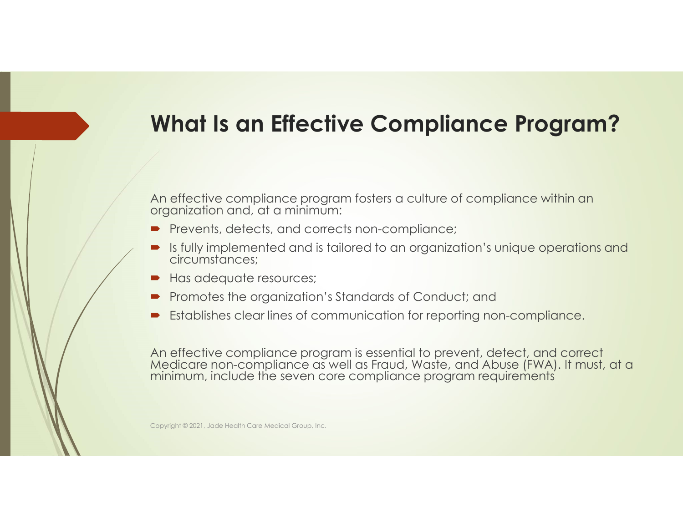## What Is an Effective Compliance Program?

An effective compliance program fosters a culture of compliance within an organization and, at a minimum:

- Prevents, detects, and corrects non-compliance;
- Is fully implemented and is tailored to an organization's unique operations and circumstances;
- Has adequate resources;
- Promotes the organization's Standards of Conduct; and
- Establishes clear lines of communication for reporting non-compliance.

An effective compliance program is essential to prevent, detect, and correct Medicare non-compliance as well as Fraud, Waste, and Abuse (FWA). It must, at a minimum, include the seven core compliance program requirements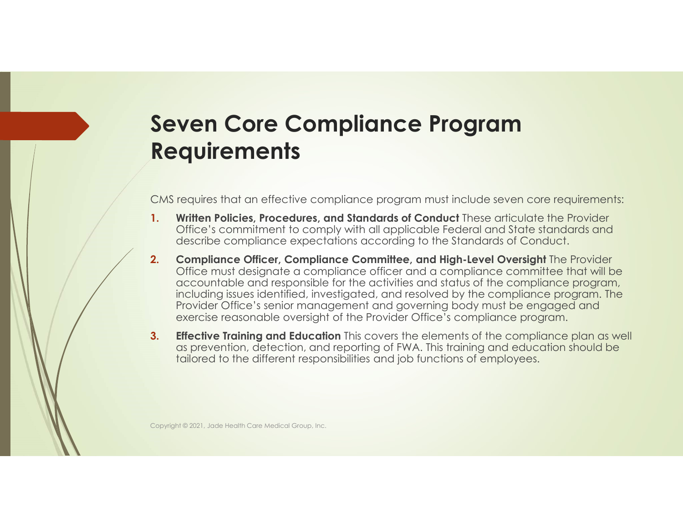## Seven Core Compliance Program **Requirements**

CMS requires that an effective compliance program must include seven core requirements:

- 1. Written Policies, Procedures, and Standards of Conduct These articulate the Provider Office's commitment to comply with all applicable Federal and State standards and describe compliance expectations according to the Standards of Conduct.
- 2. Compliance Officer, Compliance Committee, and High-Level Oversight The Provider Office must designate a compliance officer and a compliance committee that will be accountable and responsible for the activities and status of the compliance program, including issues identified, investigated, and resolved by the compliance program. The Provider Office's senior management and governing body must be engaged and exercise reasonable oversight of the Provider Office's compliance program.
- **3.** Effective Training and Education This covers the elements of the compliance plan as well as prevention, detection, and reporting of FWA. This training and education should be tailored to the different responsibilities and job functions of employees.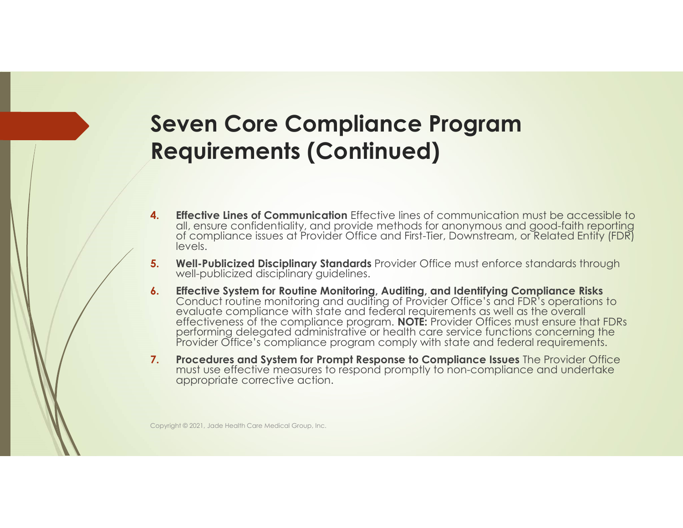## Seven Core Compliance Program Requirements (Continued)

- 4. Effective Lines of Communication Effective lines of communication must be accessible to all, ensure confidentiality, and provide methods for anonymous and good-faith reporting of compliance issues at Provider Office and First-Tier, Downstream, or Related Entity (FDR) levels.
- 5. Well-Publicized Disciplinary Standards Provider Office must enforce standards through well-publicized disciplinary guidelines.
- **6.** Effective System for Routine Monitoring, Auditing, and Identifying Compliance Risks<br>Conduct routine monitoring and auditing of Provider Office's and FDR's operations to<br>evaluate compliance with state and federal requi effectiveness of the compliance program. **NOTE:** Provider Offices must ensure that FDRs performing delegated administrative or health care service functions concerning the Provider Office's compliance program comply with state and federal requirements.
- 7. Procedures and System for Prompt Response to Compliance Issues The Provider Office must use effective measures to respond promptly to non-compliance and undertake appropriate corrective action.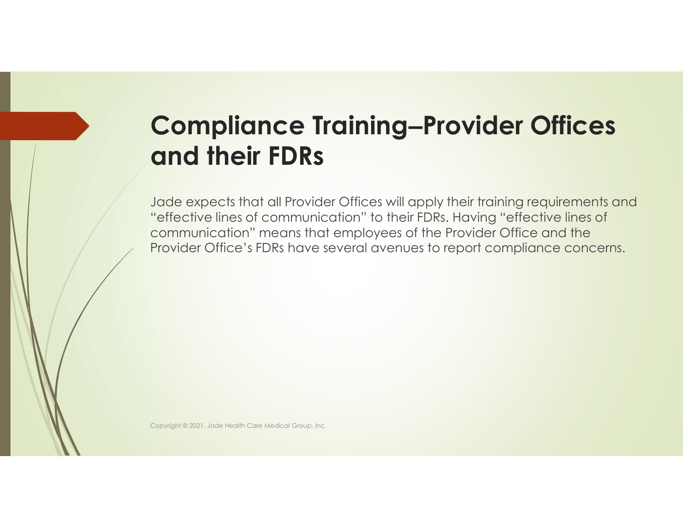## **Compliance Training–Provider Offices** and their FDRs

Jade expects that all Provider Offices will apply their training requirements and "effective lines of communication" to their FDRs. Having "effective lines of communication" means that employees of the Provider Office and the Provider Office's FDRs have several avenues to report compliance concerns.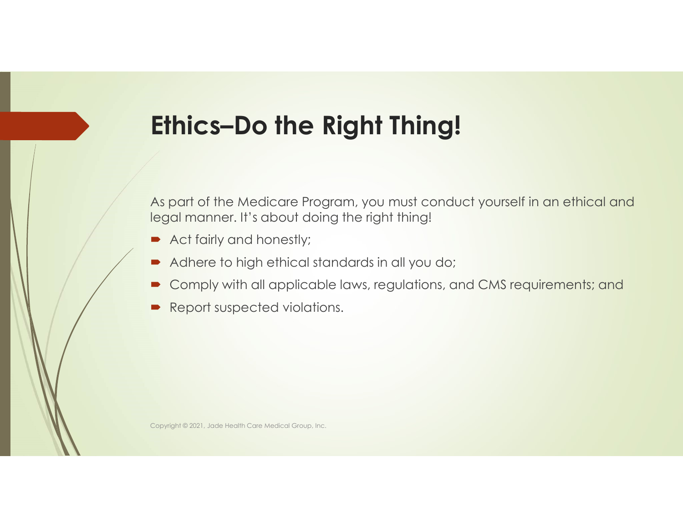## Ethics–Do the Right Thing!

As part of the Medicare Program, you must conduct yourself in an ethical and legal manner. It's about doing the right thing!

- Act fairly and honestly;
- Adhere to high ethical standards in all you do;
- Comply with all applicable laws, regulations, and CMS requirements; and
- **P** Report suspected violations.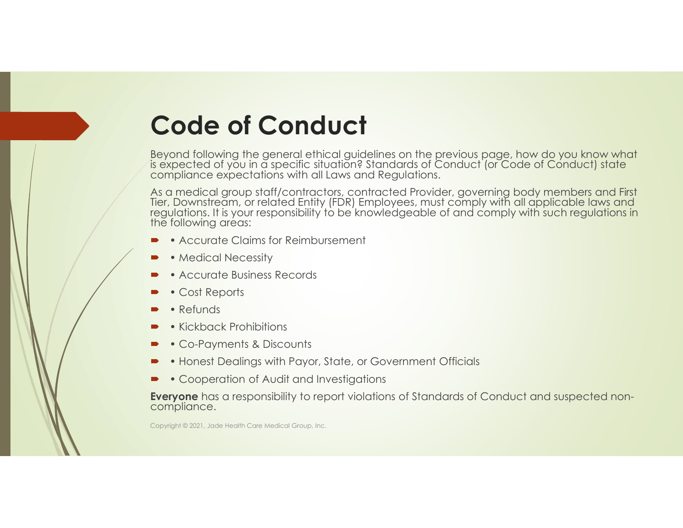## Code of Conduct

Beyond following the general ethical guidelines on the previous page, how do you know what is expected of you in a specific situation? Standards of Conduct (or Code of Conduct) state compliance expectations with all Laws and Regulations.

As a medical group staff/contractors, contracted Provider, governing body members and First<br>Tier, Downstream, or related Entity (FDR) Employees, must comply with all applicable laws and<br>regulations. It is your responsibili

- Accurate Claims for Reimbursement
- Medical Necessity
- Accurate Business Records
- Cost Reports
- Refunds
- Kickback Prohibitions
- Co-Payments & Discounts
- Honest Dealings with Payor, State, or Government Officials
- Cooperation of Audit and Investigations

Everyone has a responsibility to report violations of Standards of Conduct and suspected noncompliance.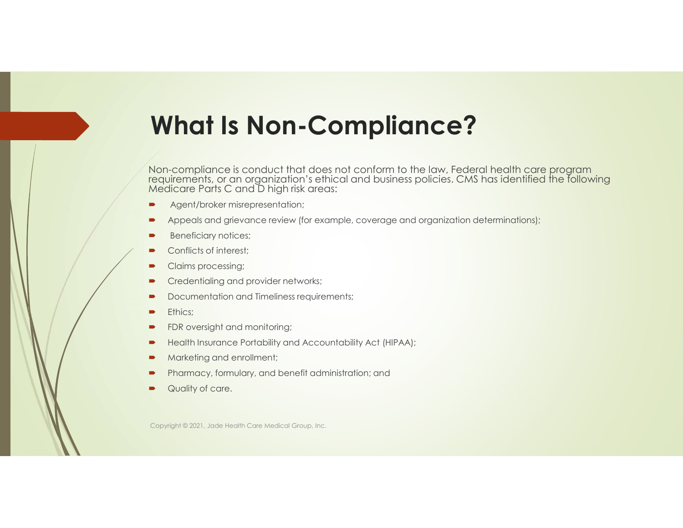## What Is Non-Compliance?

Non-compliance is conduct that does not conform to the law, Federal health care program<br>requirements, or an organization's ethical and business policies. CMS has identified the following Medicare Parts C and D high risk areas:

- Agent/broker misrepresentation;
- Appeals and grievance review (for example, coverage and organization determinations);
- Beneficiary notices;
- Conflicts of interest;
- Claims processing;
- **•** Credentialing and provider networks;
- Documentation and Timeliness requirements;
- **Ethics;** Ethics; **Executive Contract Contract Contract Contract Contract Contract Contract Contract Contract Contract Contract Contract Contract Contract Contract Contract Contract Contract Contract Contract Contract Cont**
- FDR oversight and monitoring;
- Health Insurance Portability and Accountability Act (HIPAA);
- Marketing and enrollment;
- Pharmacy, formulary, and benefit administration; and
- Quality of care.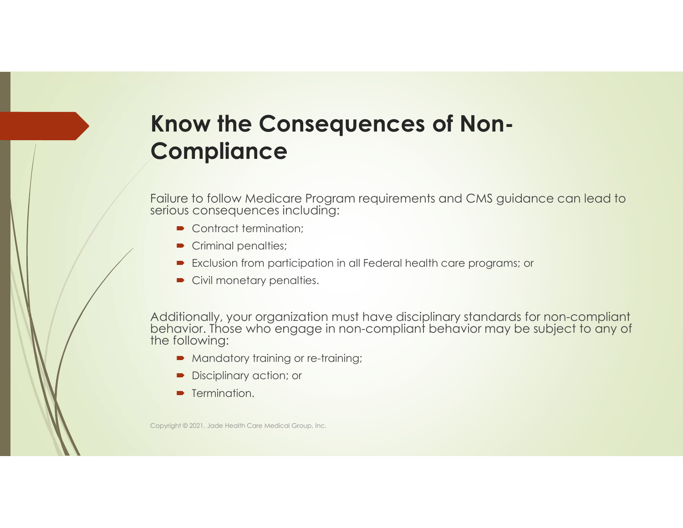## Know the Consequences of Non-**Compliance**

Failure to follow Medicare Program requirements and CMS guidance can lead to serious consequences including:

- Contract termination:
- Criminal penalties;
- **Exclusion from participation in all Federal health care programs; or**
- Civil monetary penalties.

Additionally, your organization must have disciplinary standards for non-compliant behavior. Those who engage in non-compliant behavior may be subject to any of the following:

- **Mandatory training or re-training;**
- Disciplinary action; or
- **F** Termination.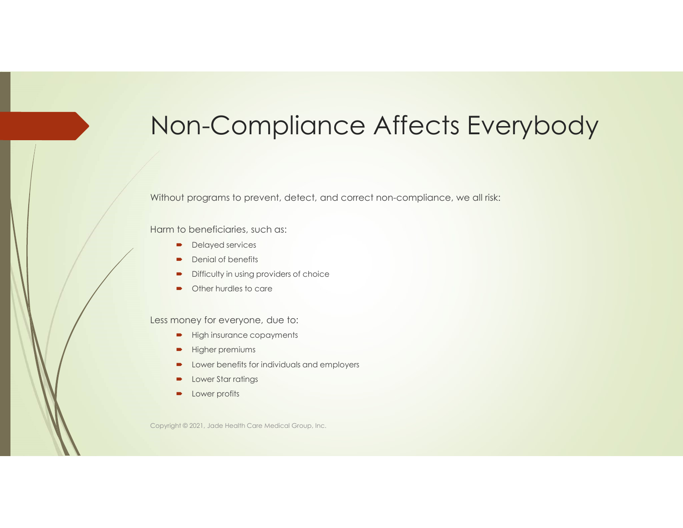## Non-Compliance Affects Everybody

Without programs to prevent, detect, and correct non-compliance, we all risk:

Harm to beneficiaries, such as:

- **Delayed services**
- Denial of benefits
- Difficulty in using providers of choice
- Other hurdles to care

Less money for everyone, due to:

- **High insurance copayments**
- **Higher premiums**
- **DED** Lower benefits for individuals and employers
- **D** Lower Star ratings
- **D** Lower profits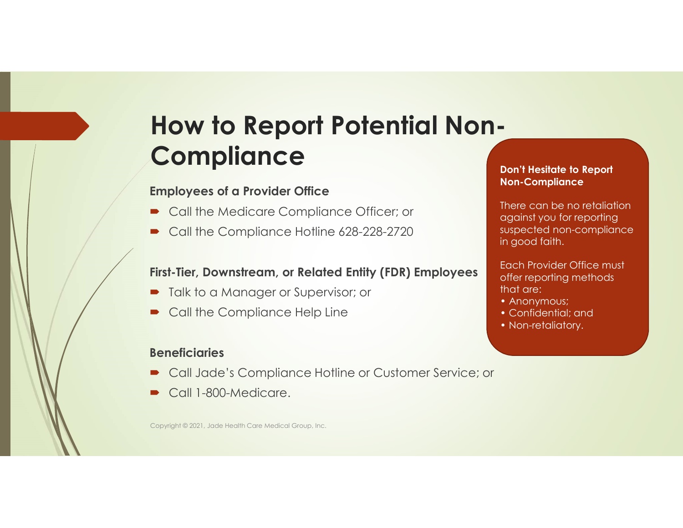## How to Report Potential Non-**Compliance**

### Employees of a Provider Office

- Call the Medicare Compliance Officer; or
- Call the Compliance Hotline 628-228-2720

### First-Tier, Downstream, or Related Entity (FDR) Employees

- Talk to a Manager or Supervisor; or
- Call the Compliance Help Line

### **Beneficiaries**

- Call Jade's Compliance Hotline or Customer Service; or
- Call 1-800-Medicare.

Copyright © 2021, Jade Health Care Medical Group, Inc.

### Don't Hesitate to Report Non-Compliance

There can be no retaliation against you for reporting suspected non-compliance in good faith.

Each Provider Office must offer reporting methods that are:

- Anonymous;
- Confidential; and
- Non-retaliatory.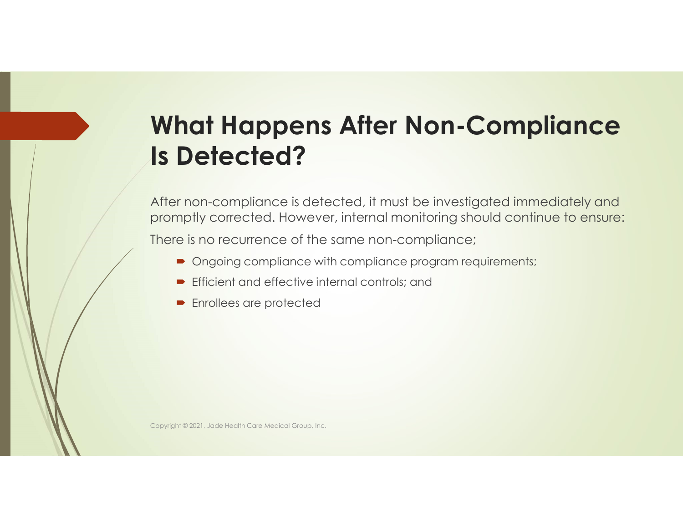## What Happens After Non-Compliance Is Detected?

After non-compliance is detected, it must be investigated immediately and promptly corrected. However, internal monitoring should continue to ensure:

There is no recurrence of the same non-compliance;

- Ongoing compliance with compliance program requirements;
- **Efficient and effective internal controls; and**
- **Enrollees are protected**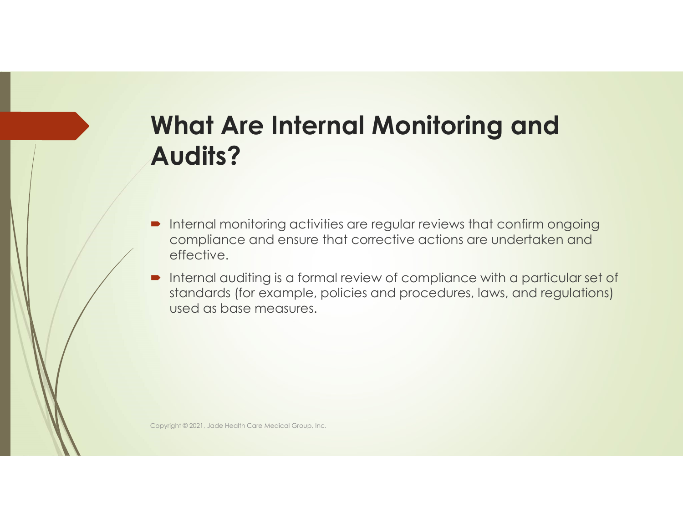## What Are Internal Monitoring and Audits?

- **Internal monitoring activities are regular reviews that confirm ongoing** compliance and ensure that corrective actions are undertaken and effective.
- Internal auditing is a formal review of compliance with a particular set of standards (for example, policies and procedures, laws, and regulations) used as base measures.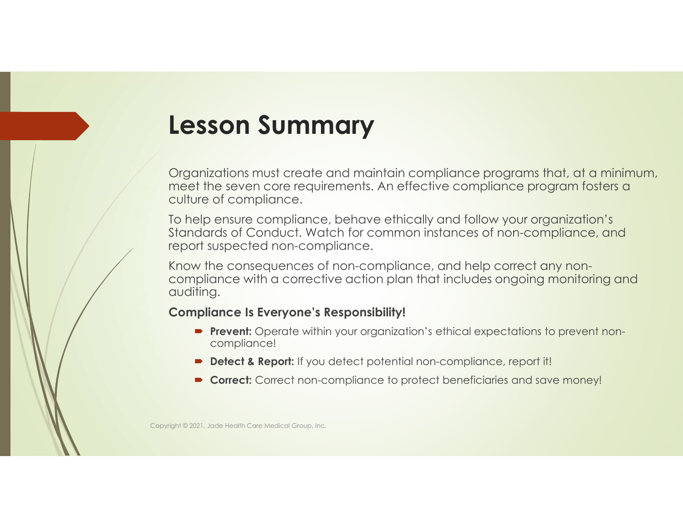## Lesson Summary

Organizations must create and maintain compliance programs that, at a minimum, meet the seven core requirements. An effective compliance program fosters a culture of compliance.

To help ensure compliance, behave ethically and follow your organization's Standards of Conduct. Watch for common instances of non-compliance, and report suspected non-compliance.

Know the consequences of non-compliance, and help correct any noncompliance with a corrective action plan that includes ongoing monitoring and auditing.

### Compliance Is Everyone's Responsibility!

- **Prevent:** Operate within your organization's ethical expectations to prevent noncompliance!
- **Detect & Report:** If you detect potential non-compliance, report it!
- Correct: Correct non-compliance to protect beneficiaries and save money!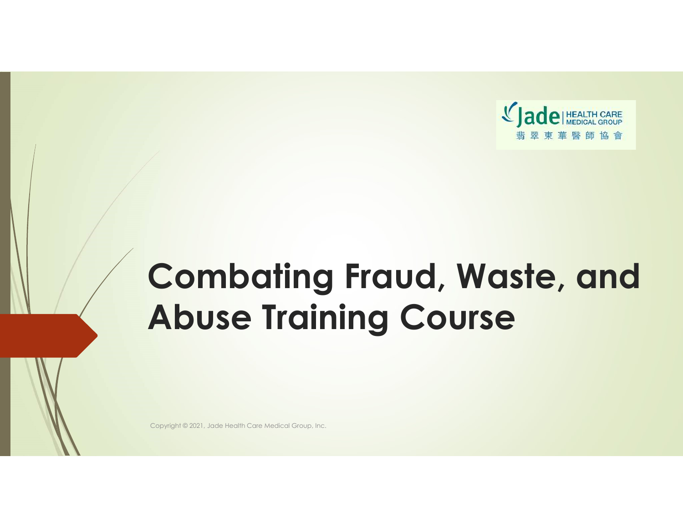

## Combating Fraud, Waste, and Abuse Training Course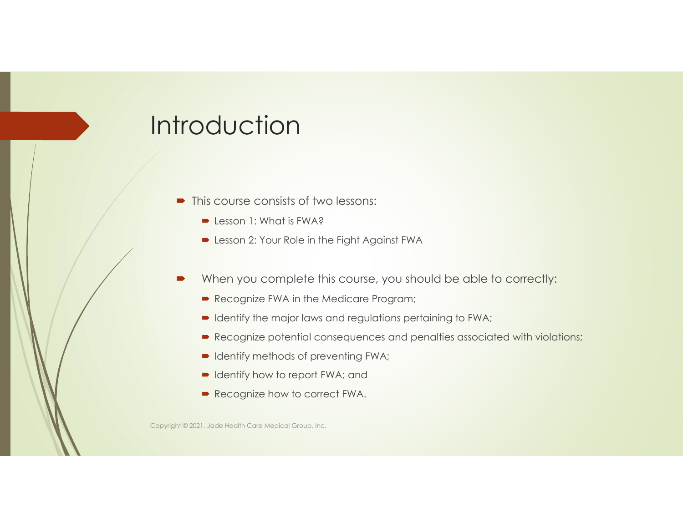## **Introduction**

- $\blacksquare$  This course consists of two lessons:
	- $\blacksquare$  Lesson 1: What is FWA?
	- **D** Lesson 2: Your Role in the Fight Against FWA
- When you complete this course, you should be able to correctly:
	- Recognize FWA in the Medicare Program;
	- $\blacktriangleright$  Identify the major laws and regulations pertaining to FWA;
	- Recognize potential consequences and penalties associated with violations;
	- $\blacksquare$  Identify methods of preventing FWA;
	- Identify how to report FWA; and
	- Recognize how to correct FWA.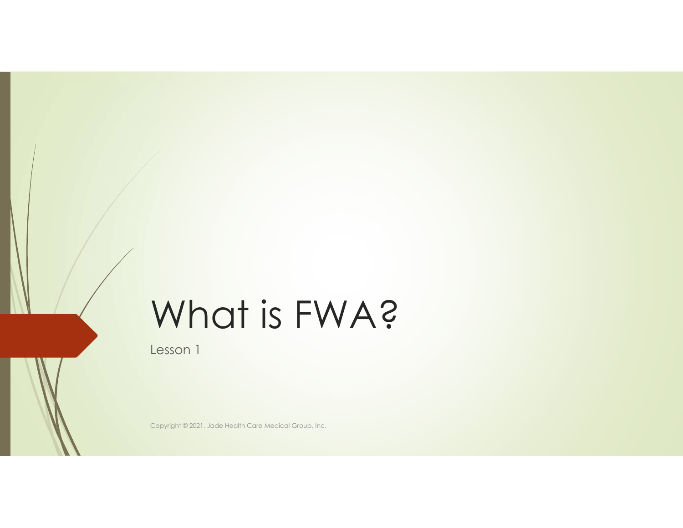## What is FWA?

Lesson 1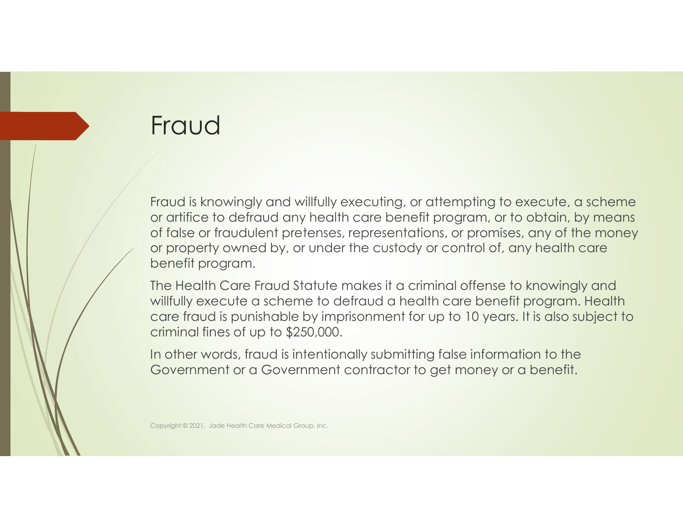## Fraud

Fraud is knowingly and willfully executing, or attempting to execute, a scheme or artifice to defraud any health care benefit program, or to obtain, by means of false or fraudulent pretenses, representations, or promises, any of the money or property owned by, or under the custody or control of, any health care benefit program.

The Health Care Fraud Statute makes it a criminal offense to knowingly and willfully execute a scheme to defraud a health care benefit program. Health care fraud is punishable by imprisonment for up to 10 years. It is also subject to criminal fines of up to \$250,000.

In other words, fraud is intentionally submitting false information to the Government or a Government contractor to get money or a benefit.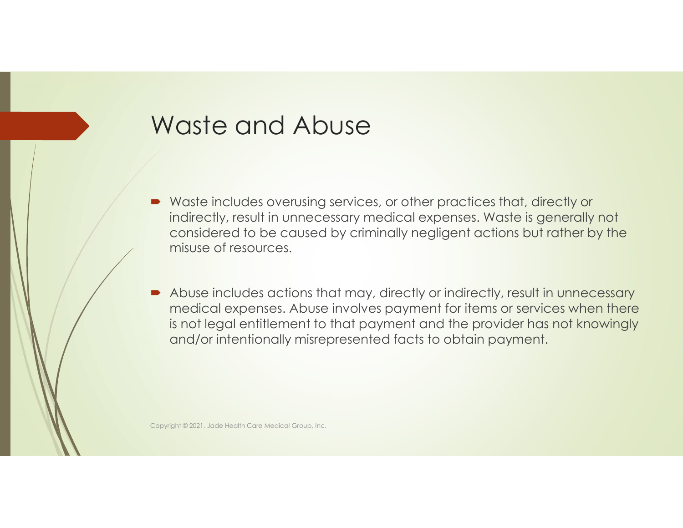## Waste and Abuse

- Waste includes overusing services, or other practices that, directly or indirectly, result in unnecessary medical expenses. Waste is generally not considered to be caused by criminally negligent actions but rather by the misuse of resources.
- Abuse includes actions that may, directly or indirectly, result in unnecessary medical expenses. Abuse involves payment for items or services when there is not legal entitlement to that payment and the provider has not knowingly and/or intentionally misrepresented facts to obtain payment.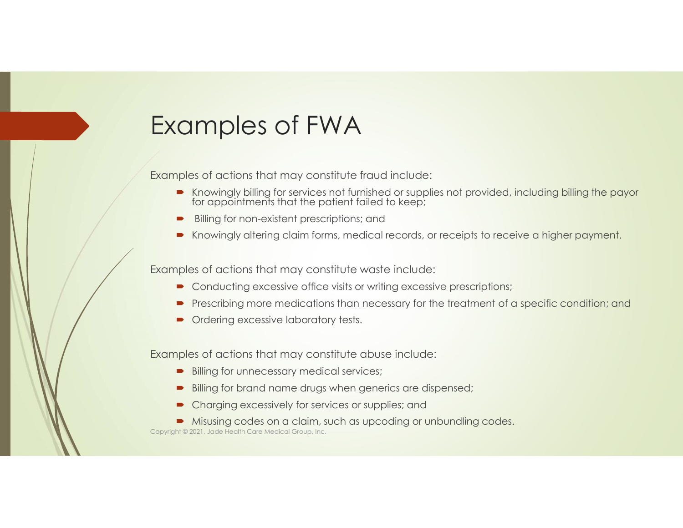## Examples of FWA

Examples of actions that may constitute fraud include:

- Knowingly billing for services not furnished or supplies not provided, including billing the payor for appointments that the patient failed to keep; The matter of the methods of the product and the product and the product and the proof or the methods of the methods of the methods of the methods of the product and the proposition of the methods of actions that may const
- Billing for non-existent prescriptions; and
- Knowingly altering claim forms, medical records, or receipts to receive a higher payment.

Examples of actions that may constitute waste include:

- Conducting excessive office visits or writing excessive prescriptions;
- **Prescribing more medications than necessary for the treatment of a specific condition; and**
- Ordering excessive laboratory tests.

Examples of actions that may constitute abuse include:

- Billing for unnecessary medical services;
- Billing for brand name drugs when generics are dispensed;
- Charging excessively for services or supplies; and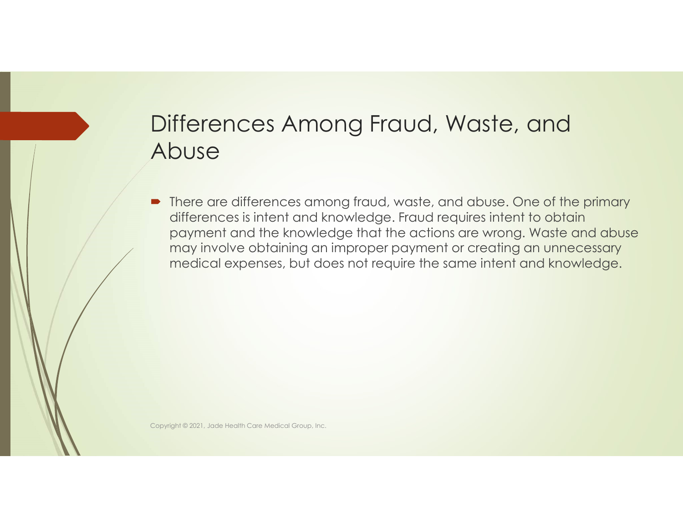### Differences Among Fraud, Waste, and Abuse

• There are differences among fraud, waste, and abuse. One of the primary differences is intent and knowledge. Fraud requires intent to obtain payment and the knowledge that the actions are wrong. Waste and abuse may involve obtaining an improper payment or creating an unnecessary medical expenses, but does not require the same intent and knowledge.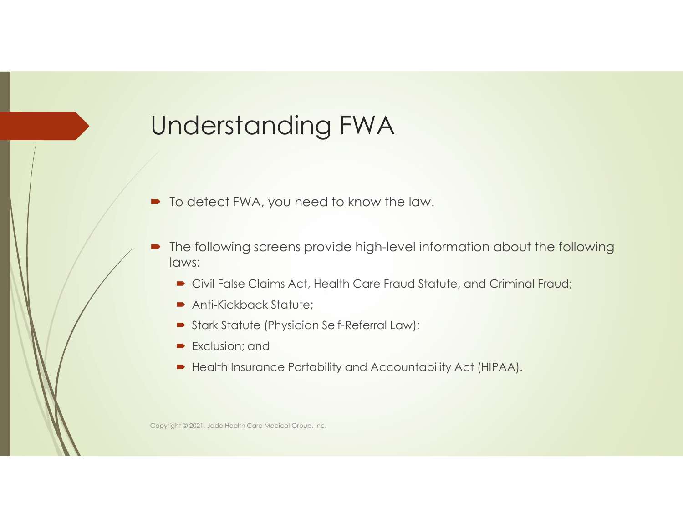## Understanding FWA

- To detect FWA, you need to know the law.
- The following screens provide high-level information about the following laws:
	- Civil False Claims Act, Health Care Fraud Statute, and Criminal Fraud;
	- Anti-Kickback Statute;
	- Stark Statute (Physician Self-Referral Law);
	- **Exclusion; and**
	- Health Insurance Portability and Accountability Act (HIPAA).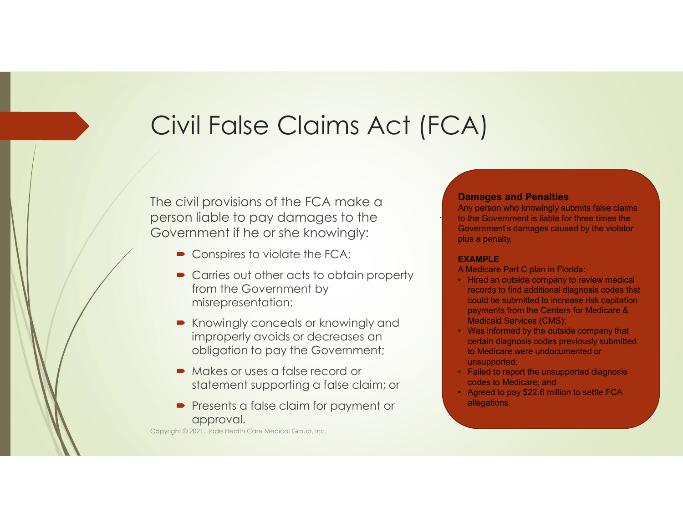## Civil False Claims Act (FCA)

The civil provisions of the FCA make a **Damages and Penalties** person liable to pay damages to the Government if he or she knowingly:

- Conspires to violate the FCA;
- Carries out other acts to obtain property<br>• Hired an outside company to review medical from the Government by misrepresentation;
- Knowingly conceals or knowingly and<br>international and the concealing of the concealing of the concealing of the concealing of the concealing of that improperly avoids or decreases an obligation to pay the Government;
- $\blacksquare$  Makes or uses a false record or statement supporting a false claim; or example a state of the discussion of the settle FCA
- **Presents a false claim for payment or** approval.

Copyright © 2021, Jade Health Care Medical Group, Inc.

**Damages and Penalties<br>
Any person who knowingly submits false claims<br>
to the Government is liable for three times the** Any person who knowingly submits false claims to the Government is liable for three times the Government's damages caused by the violator plus a penalty.

#### EXAMPLE

- A Medicare Part C plan in Florida:
- **Fall of the company of the company of the company of the Covernment is liable for three times the Government's damages caused by the violator<br>plus a penalty.<br><b>EXAMPLE**<br>A Medicare Part C plan in Florida:<br>A Medical experim records to find additional diagnosis codes that could be submitted to increase risk capitation payments from the Centers for Medicare & Medicaid Services (CMS); **Formal School School School School School School School School School School School School School School School School School School School School School School School School School School School School School School Scho Damages and Penalties**<br>Any person who knowingly submits false claims<br>to the Government is liable for three times the<br>Government's damages caused by the violator<br>plus a penalty.<br>**EXAMPLE**<br>A Medicare Part C plan in Florida: **Damages and Penalties**<br>Any person who knowingly submits false claims<br>to the Government is liable for three times the<br>Government's damages caused by the violator<br>plus a penalty.<br>**EXAMPLE**<br>A Medicare Part C plan in Florida:
- certain diagnosis codes previously submitted to Medicare were undocumented or unsupported;
- codes to Medicare; and
- allegations.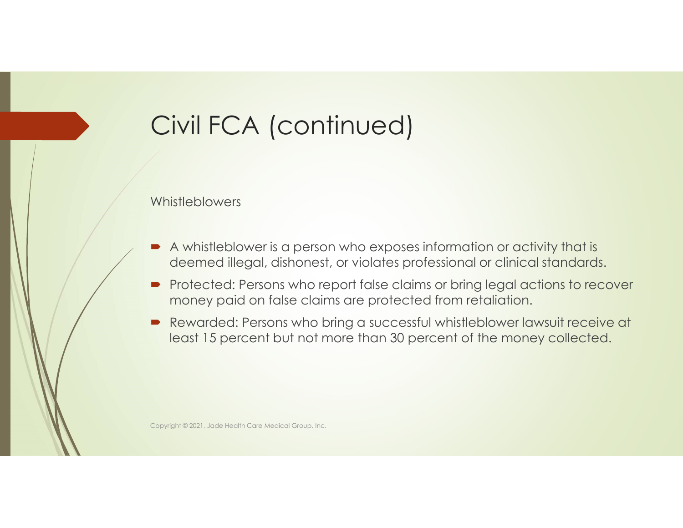## Civil FCA (continued)

Whistleblowers

- A whistleblower is a person who exposes information or activity that is deemed illegal, dishonest, or violates professional or clinical standards.
- **Protected: Persons who report false claims or bring legal actions to recover** money paid on false claims are protected from retaliation.
- Rewarded: Persons who bring a successful whistleblower lawsuit receive at least 15 percent but not more than 30 percent of the money collected.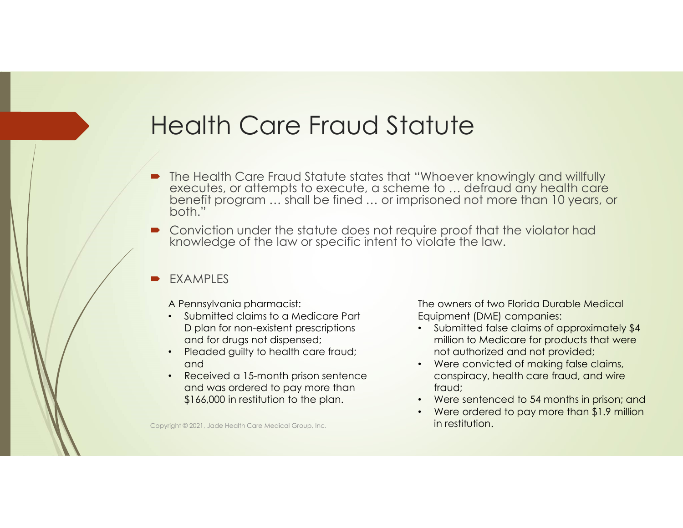## Health Care Fraud Statute

- The Health Care Fraud Statute states that "Whoever knowingly and willfully executes, or attempts to execute, a scheme to … defraud any health care benefit program … shall be fined … or imprisoned not more than 10 years, or both."
- **Conviction under the statute does not require proof that the violator had** knowledge of the law or specific intent to violate the law.
- EXAMPLES

A Pennsylvania pharmacist:

- Submitted claims to a Medicare Part D plan for non-existent prescriptions and for drugs not dispensed;
- Pleaded guilty to health care fraud; and
- Received a 15-month prison sentence and was ordered to pay more than \$166,000 in restitution to the plan.

Copyright © 2021, Jade Health Care Medical Group, Inc. **in restitution.** 

The owners of two Florida Durable Medical Equipment (DME) companies:

- Submitted false claims of approximately \$4 million to Medicare for products that were not authorized and not provided;
- Were convicted of making false claims, conspiracy, health care fraud, and wire fraud;
- Were sentenced to 54 months in prison; and
- Were ordered to pay more than \$1.9 million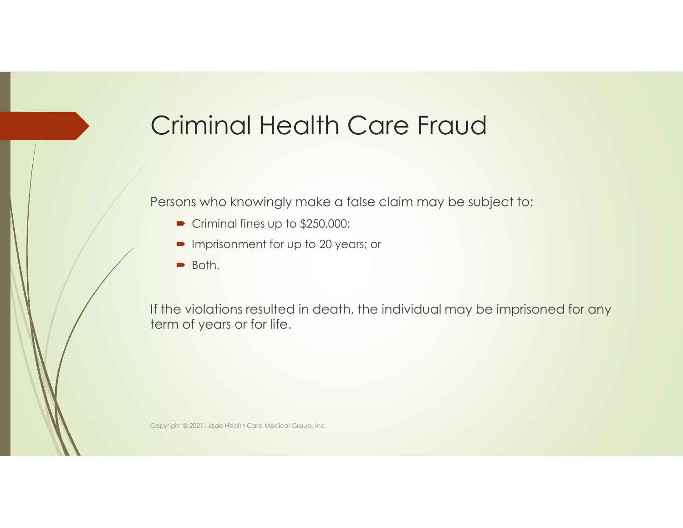## Criminal Health Care Fraud

Persons who knowingly make a false claim may be subject to:

- Criminal fines up to \$250,000;
- **Imprisonment for up to 20 years; or**
- Both.

If the violations resulted in death, the individual may be imprisoned for any term of years or for life.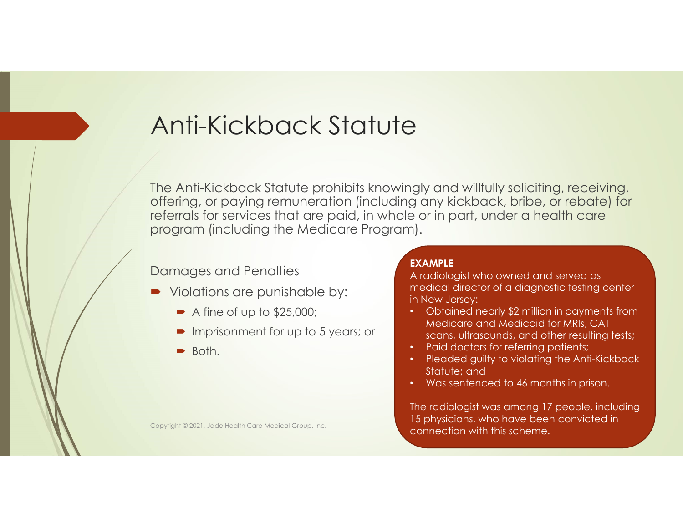## Anti-Kickback Statute

The Anti-Kickback Statute prohibits knowingly and willfully soliciting, receiving, offering, or paying remuneration (including any kickback, bribe, or rebate) for referrals for services that are paid, in whole or in part, under a health care program (including the Medicare Program).

### Damages and Penalties

- Violations are punishable by:
	- $\blacktriangleright$  A fine of up to \$25,000;
	- **Imprisonment for up to 5 years; or**
	- $\rightarrow$  Both.

### EXAMPLE

A radiologist who owned and served as medical director of a diagnostic testing center in New Jersey:

- Obtained nearly \$2 million in payments from Medicare and Medicaid for MRIs, CAT scans, ultrasounds, and other resulting tests;
- Paid doctors for referring patients;
- Pleaded guilty to violating the Anti-Kickback Statute; and
- Was sentenced to 46 months in prison.

The radiologist was among 17 people, including 15 physicians, who have been convicted in Copyright © 2021, Jade Health Care Medical Group, Inc.<br> **Connection with this scheme.**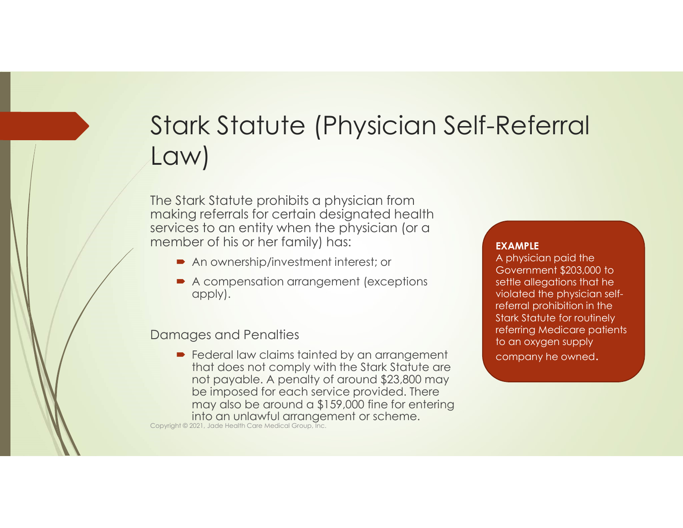## Stark Statute (Physician Self-Referral Law)

The Stark Statute prohibits a physician from making referrals for certain designated health services to an entity when the physician (or a member of his or her family) has:

- An ownership/investment interest; or
- A compensation arrangement (exceptions apply).

Damages and Penalties

Federal law claims tainted by an arrangement company he owned. that does not comply with the Stark Statute are not payable. A penalty of around \$23,800 may be imposed for each service provided. There may also be around a \$159,000 fine for entering ■ Federal law claims tainted by an arrangement<br>
that does not comply with the Stark Statute are<br>
not payable. A penalty of around \$23,800 may<br>
be imposed for each service provided. There<br>
may also be around a \$159,000 fin

#### EXAMPLE

A physician paid the Government \$203,000 to settle allegations that he violated the physician selfreferral prohibition in the Stark Statute for routinely referring Medicare patients to an oxygen supply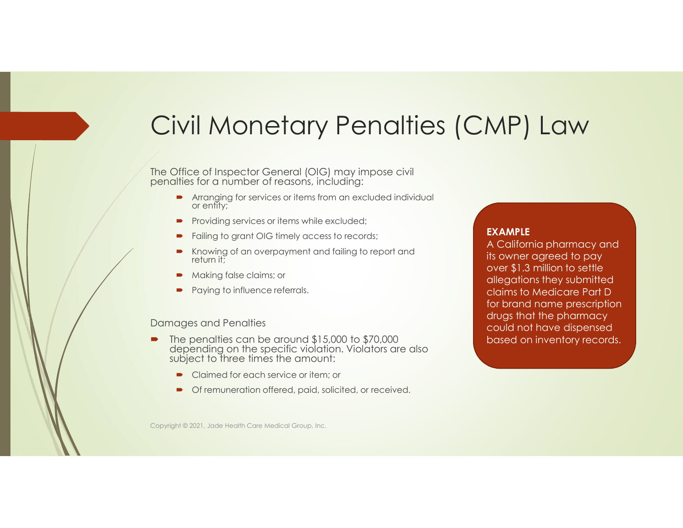## Civil Monetary Penalties (CMP) Law

The Office of Inspector General (OIG) may impose civil penalties for a number of reasons, including:

- **•** Arranging for services or items from an excluded individual or entity;
- Providing services or items while excluded;
- Failing to grant OIG timely access to records;
- Knowing of an overpayment and failing to report and return it;
- Making false claims; or
- Paying to influence referrals.

#### Damages and Penalties

- The penalties can be around \$15,000 to \$70,000 depending on the specific violation. Violators are also subject to three times the amount:
	- Claimed for each service or item; or
	- Of remuneration offered, paid, solicited, or received.

### EXAMPLE

A California pharmacy and its owner agreed to pay over \$1.3 million to settle allegations they submitted claims to Medicare Part D for brand name prescription drugs that the pharmacy could not have dispensed based on inventory records.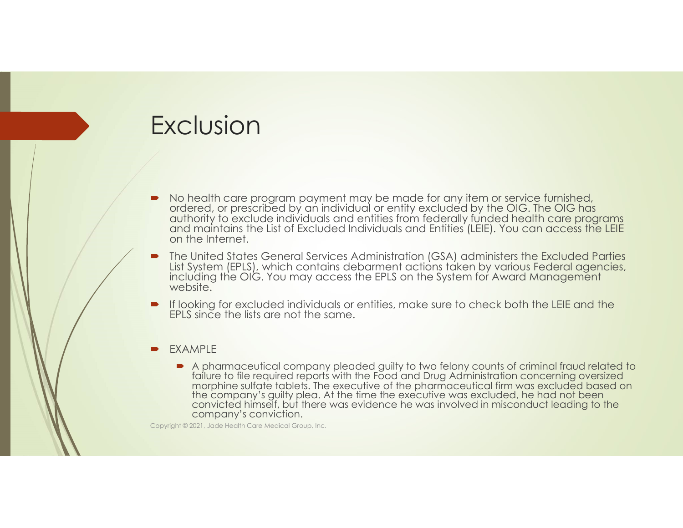## Exclusion

- No health care program payment may be made for any item or service furnished, ordered, or prescribed by an individual or entity excluded by the OIG. The OIG has and maintains the List of Excluded Individuals and Entities (LEIE). You can access the LEIE on the Internet.
- The United States General Services Administration (GSA) administers the Excluded Parties List System (EPLS), which contains debarment actions taken by various Federal agencies, including the OIG. You may access the EPLS on the System for Award Management website.
- If looking for excluded individuals or entities, make sure to check both the LEIE and the EPLS since the lists are not the same.
- EXAMPLE
	- A pharmaceutical company pleaded guilty to two felony counts of criminal fraud related to failure to file required reports with the Food and Drug Administration concerning oversized morphine sulfate tablets. The executive of the pharmaceutical firm was excluded based on the company's guilty plea. At the time the executive was excluded, he had not been convicted himself, but there was evidence he was involved in misconduct leading to the company's conviction.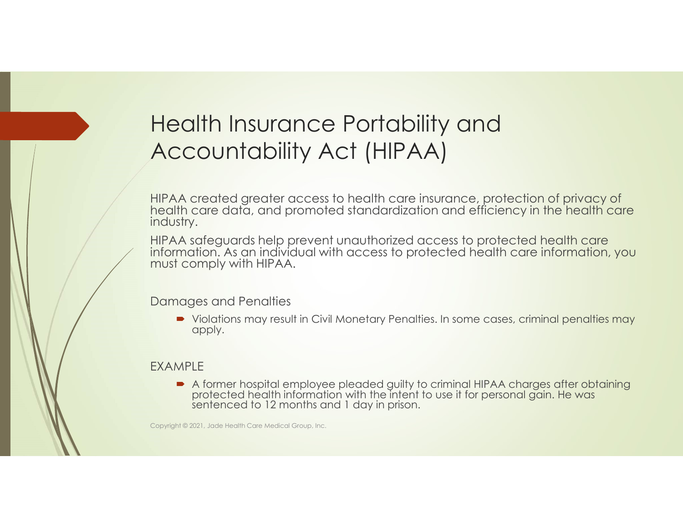## Health Insurance Portability and Accountability Act (HIPAA)

HIPAA created greater access to health care insurance, protection of privacy of health care data, and promoted standardization and efficiency in the health care industry.

HIPAA safeguards help prevent unauthorized access to protected health care information. As an individual with access to protected health care information, you must comply with HIPAA.

Damages and Penalties

• Violations may result in Civil Monetary Penalties. In some cases, criminal penalties may apply.

### EXAMPLE

A former hospital employee pleaded guilty to criminal HIPAA charges after obtaining protected health information with the intent to use it for personal gain. He was sentenced to 12 months and 1 day in prison.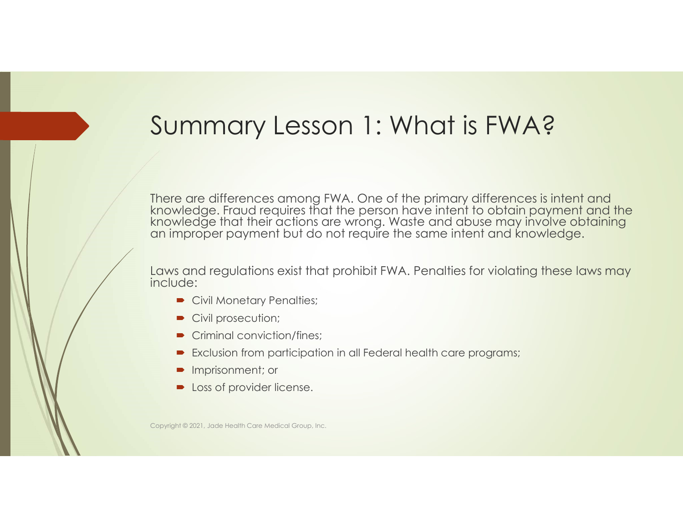## Summary Lesson 1: What is FWA?

There are differences among FWA. One of the primary differences is intent and knowledge. Fraud requires that the person have intent to obtain payment and the knowledge that their actions are wrong. Waste and abuse may invo

Laws and regulations exist that prohibit FWA. Penalties for violating these laws may include:

- Civil Monetary Penalties;
- Civil prosecution;
- Criminal conviction/fines:
- Exclusion from participation in all Federal health care programs;
- **Imprisonment; or**
- **Dec** Loss of provider license.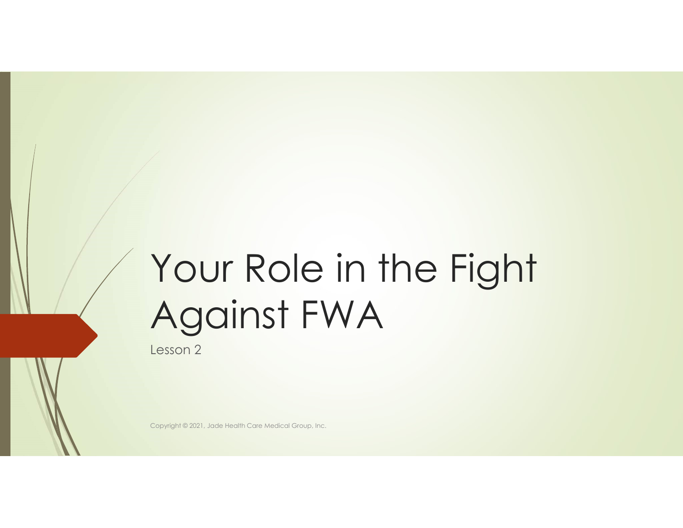# Your Role in the Fight Against FWA

Lesson 2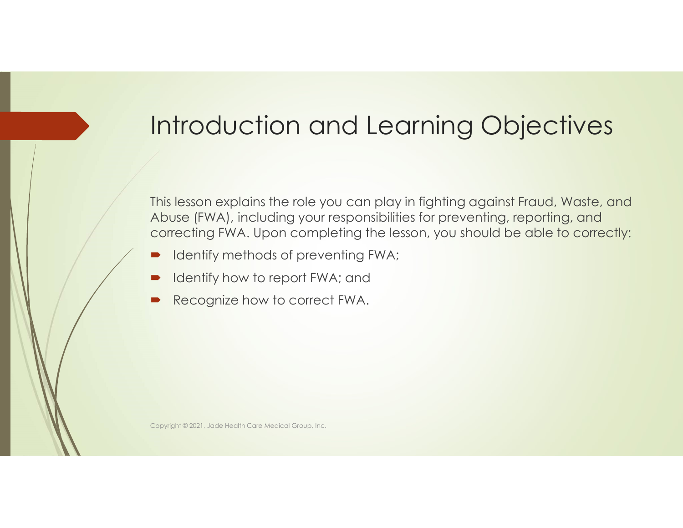### Introduction and Learning Objectives

This lesson explains the role you can play in fighting against Fraud, Waste, and Abuse (FWA), including your responsibilities for preventing, reporting, and correcting FWA. Upon completing the lesson, you should be able to correctly:

- Identify methods of preventing FWA;
- Identify how to report FWA; and
- Recognize how to correct FWA.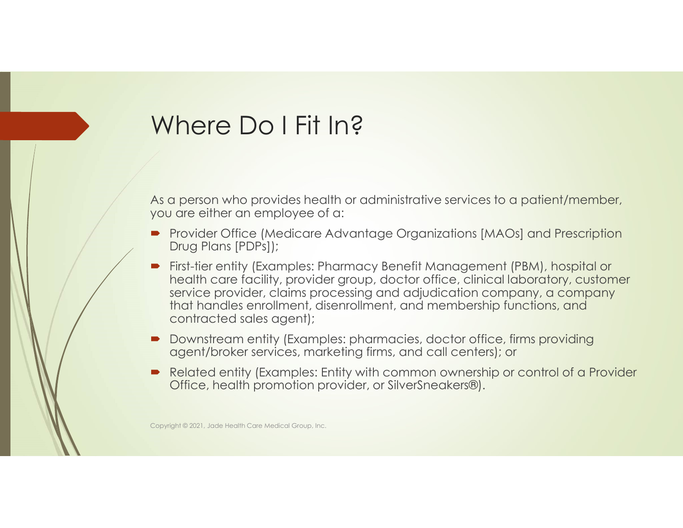#### Where Do I Fit In?

As a person who provides health or administrative services to a patient/member, you are either an employee of a:

- Provider Office (Medicare Advantage Organizations [MAOs] and Prescription Drug Plans [PDPs]);
- **First-tier entity (Examples: Pharmacy Benefit Management (PBM), hospital or** health care facility, provider group, doctor office, clinical laboratory, customer service provider, claims processing and adjudication company, a company that handles enrollment, disenrollment, and membership functions, and contracted sales agent);
- Downstream entity (Examples: pharmacies, doctor office, firms providing agent/broker services, marketing firms, and call centers); or
- Related entity (Examples: Entity with common ownership or control of a Provider Office, health promotion provider, or SilverSneakers®).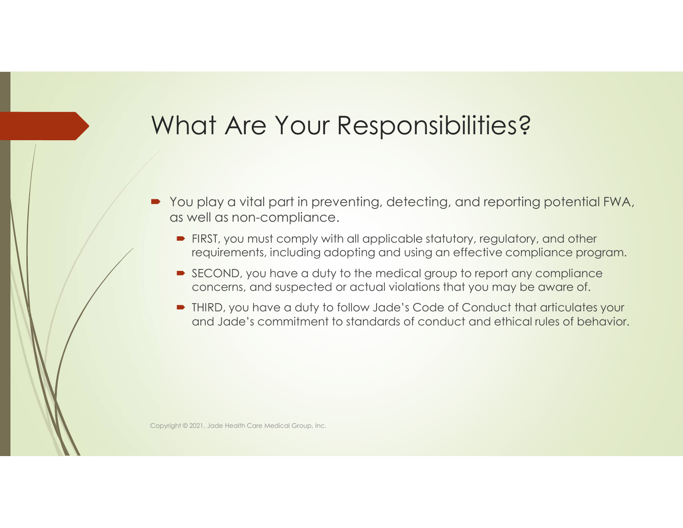#### What Are Your Responsibilities?

- You play a vital part in preventing, detecting, and reporting potential FWA, as well as non-compliance.
	- **FIRST, you must comply with all applicable statutory, regulatory, and other** requirements, including adopting and using an effective compliance program.
	- SECOND, you have a duty to the medical group to report any compliance concerns, and suspected or actual violations that you may be aware of.
	- THIRD, you have a duty to follow Jade's Code of Conduct that articulates your and Jade's commitment to standards of conduct and ethical rules of behavior.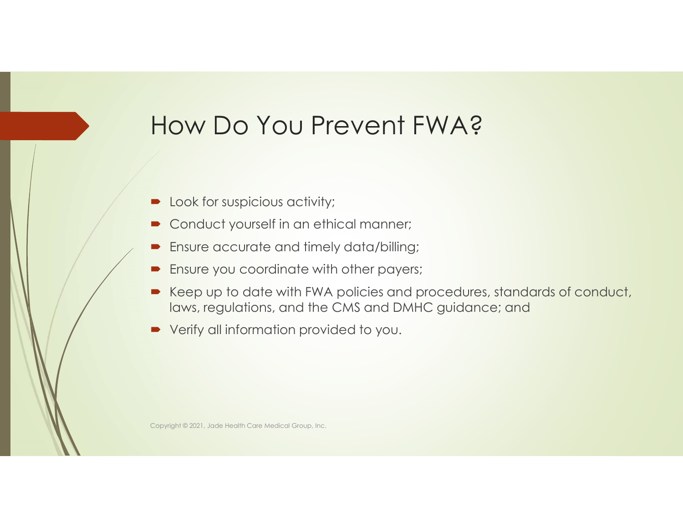#### How Do You Prevent FWA?

- **D** Look for suspicious activity;
- **Conduct yourself in an ethical manner;**
- Ensure accurate and timely data/billing;
- **Ensure you coordinate with other payers;**
- Keep up to date with FWA policies and procedures, standards of conduct, laws, regulations, and the CMS and DMHC guidance; and
- Verify all information provided to you.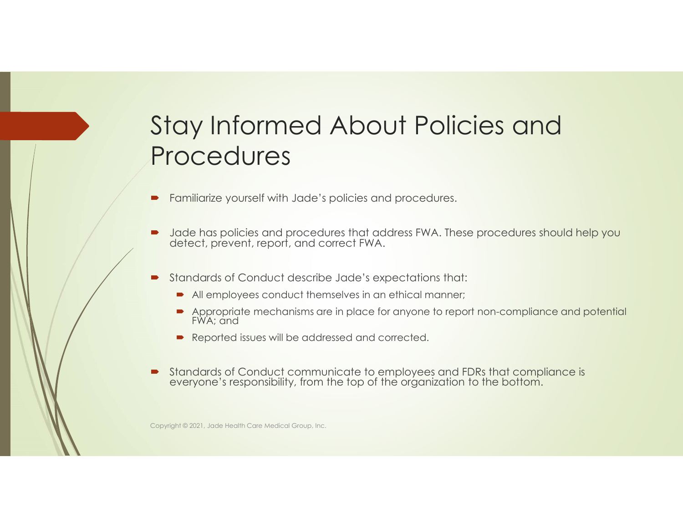#### Stay Informed About Policies and Procedures

- Familiarize yourself with Jade's policies and procedures.
- **D** Jade has policies and procedures that address FWA. These procedures should help you detect, prevent, report, and correct FWA.
- Standards of Conduct describe Jade's expectations that:
	- All employees conduct themselves in an ethical manner;
	- Appropriate mechanisms are in place for anyone to report non-compliance and potential FWA; and
	- Reported issues will be addressed and corrected.
- Standards of Conduct communicate to employees and FDRs that compliance is everyone's responsibility, from the top of the organization to the bottom.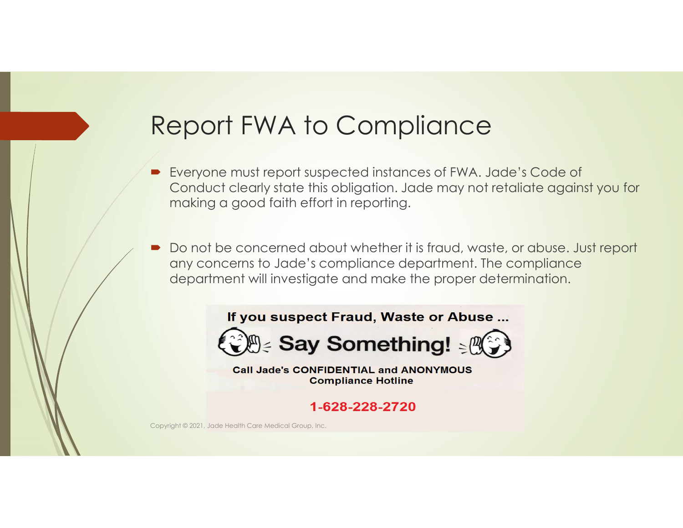#### Report FWA to Compliance

- Everyone must report suspected instances of FWA. Jade's Code of Conduct clearly state this obligation. Jade may not retaliate against you for making a good faith effort in reporting.
- Do not be concerned about whether it is fraud, waste, or abuse. Just report any concerns to Jade's compliance department. The compliance department will investigate and make the proper determination.





**Call Jade's CONFIDENTIAL and ANONYMOUS Compliance Hotline** 

1-628-228-2720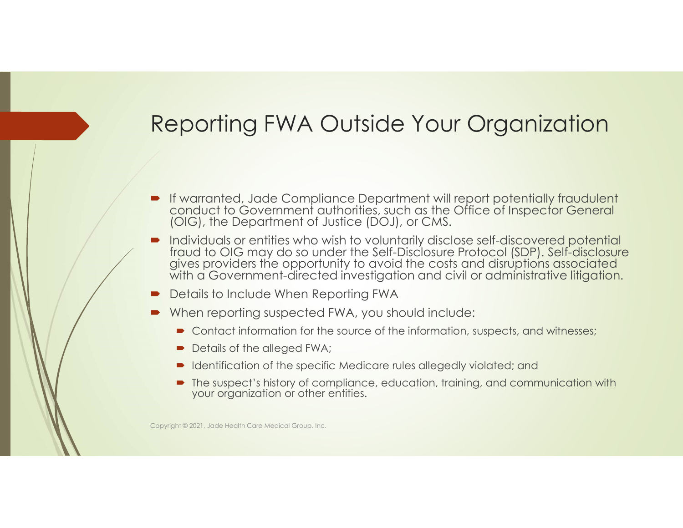#### Reporting FWA Outside Your Organization

- If warranted, Jade Compliance Department will report potentially fraudulent conduct to Government authorities, such as the Office of Inspector General (OIG), the Department of Justice (DOJ), or CMS.
- Individuals or entities who wish to voluntarily disclose self-discovered potential gives providers the opportunity to avoid the costs and disruptions associated<br>with a Government-directed investigation and civil or administrative litigation.
- Details to Include When Reporting FWA
- When reporting suspected FWA, you should include:
	- Contact information for the source of the information, suspects, and witnesses;
	- Details of the alleged FWA;
	- Identification of the specific Medicare rules allegedly violated; and
	- The suspect's history of compliance, education, training, and communication with your organization or other entities.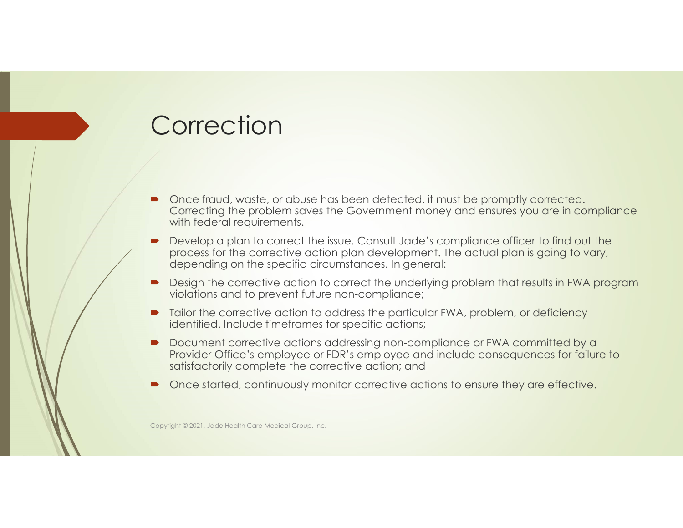#### **Correction**

- Once fraud, waste, or abuse has been detected, it must be promptly corrected. Correcting the problem saves the Government money and ensures you are in compliance with federal requirements.
- **Develop a plan to correct the issue. Consult Jade's compliance officer to find out the** process for the corrective action plan development. The actual plan is going to vary, depending on the specific circumstances. In general:
- Design the corrective action to correct the underlying problem that results in FWA program violations and to prevent future non-compliance;
- Tailor the corrective action to address the particular FWA, problem, or deficiency identified. Include timeframes for specific actions;
- Document corrective actions addressing non-compliance or FWA committed by a Provider Office's employee or FDR's employee and include consequences for failure to satisfactorily complete the corrective action; and
- Once started, continuously monitor corrective actions to ensure they are effective.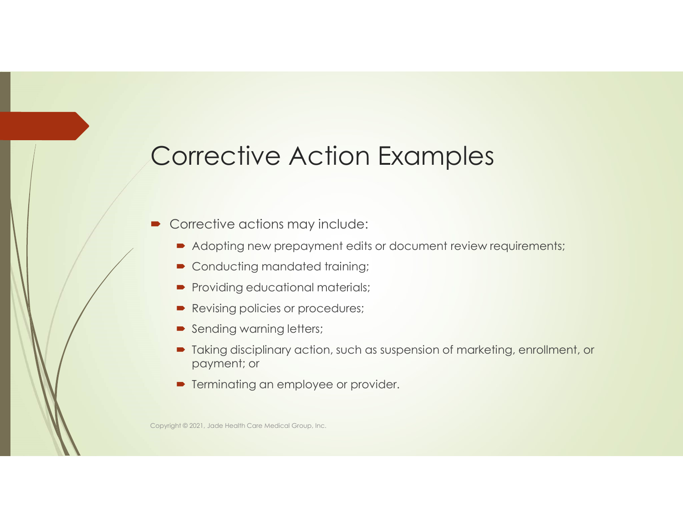#### Corrective Action Examples

- Corrective actions may include:
	- Adopting new prepayment edits or document review requirements;
	- Conducting mandated training;
	- Providing educational materials;
	- Revising policies or procedures;
	- Sending warning letters;
	- Taking disciplinary action, such as suspension of marketing, enrollment, or payment; or
	- **•** Terminating an employee or provider.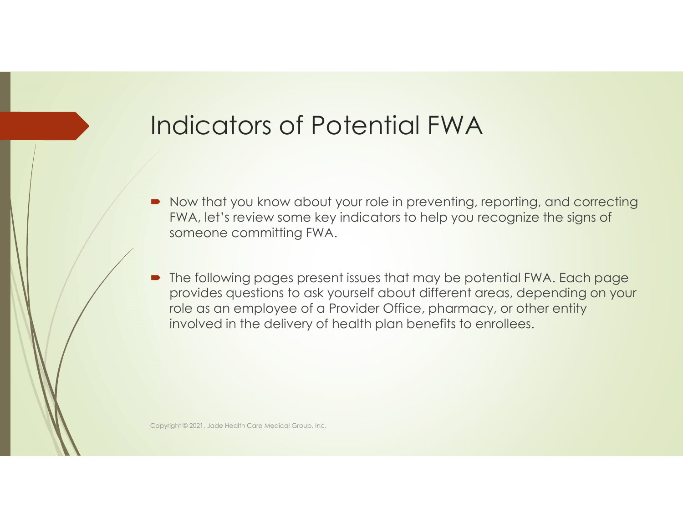#### Indicators of Potential FWA

- Now that you know about your role in preventing, reporting, and correcting FWA, let's review some key indicators to help you recognize the signs of someone committing FWA.
- The following pages present issues that may be potential FWA. Each page provides questions to ask yourself about different areas, depending on your role as an employee of a Provider Office, pharmacy, or other entity involved in the delivery of health plan benefits to enrollees.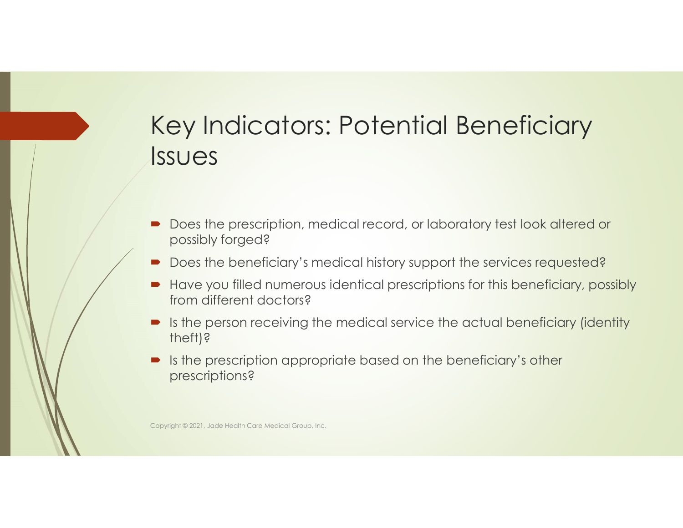#### Key Indicators: Potential Beneficiary Issues

- Does the prescription, medical record, or laboratory test look altered or possibly forged?
- Does the beneficiary's medical history support the services requested?
- Have you filled numerous identical prescriptions for this beneficiary, possibly from different doctors?
- Is the person receiving the medical service the actual beneficiary (identity theft)?
- Is the prescription appropriate based on the beneficiary's other prescriptions?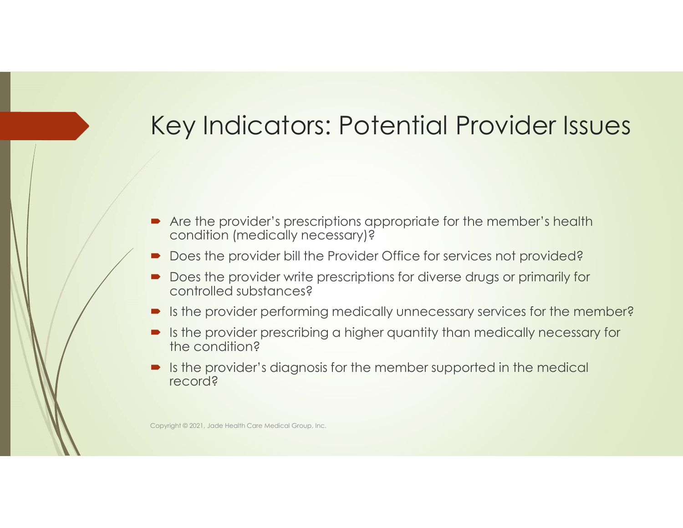#### Key Indicators: Potential Provider Issues

- Are the provider's prescriptions appropriate for the member's health condition (medically necessary)?
- Does the provider bill the Provider Office for services not provided?
- Does the provider write prescriptions for diverse drugs or primarily for controlled substances?
- Is the provider performing medically unnecessary services for the member?
- Is the provider prescribing a higher quantity than medically necessary for the condition?
- $\blacksquare$  Is the provider's diagnosis for the member supported in the medical record?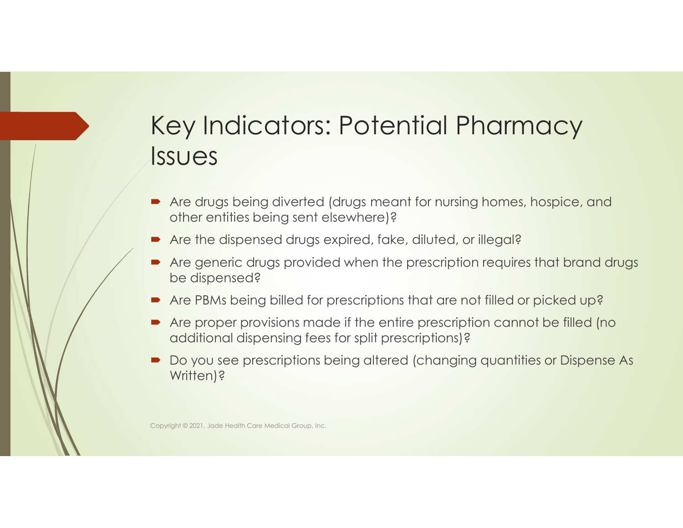#### Key Indicators: Potential Pharmacy Issues

- Are drugs being diverted (drugs meant for nursing homes, hospice, and other entities being sent elsewhere)?
- Are the dispensed drugs expired, fake, diluted, or illegal?
- Are generic drugs provided when the prescription requires that brand drugs be dispensed?
- Are PBMs being billed for prescriptions that are not filled or picked up?
- Are proper provisions made if the entire prescription cannot be filled (no additional dispensing fees for split prescriptions)?
- Do you see prescriptions being altered (changing quantities or Dispense As Written)?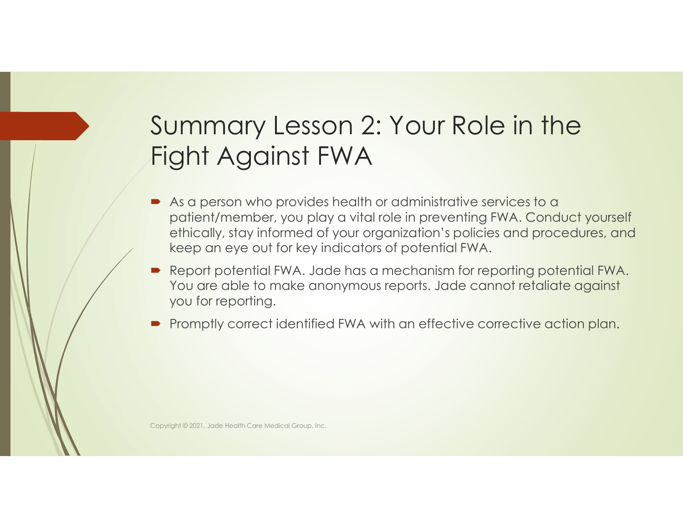#### Summary Lesson 2: Your Role in the Fight Against FWA

- As a person who provides health or administrative services to a patient/member, you play a vital role in preventing FWA. Conduct yourself ethically, stay informed of your organization's policies and procedures, and keep an eye out for key indicators of potential FWA.
- Report potential FWA. Jade has a mechanism for reporting potential FWA. You are able to make anonymous reports. Jade cannot retaliate against you for reporting.
- Promptly correct identified FWA with an effective corrective action plan.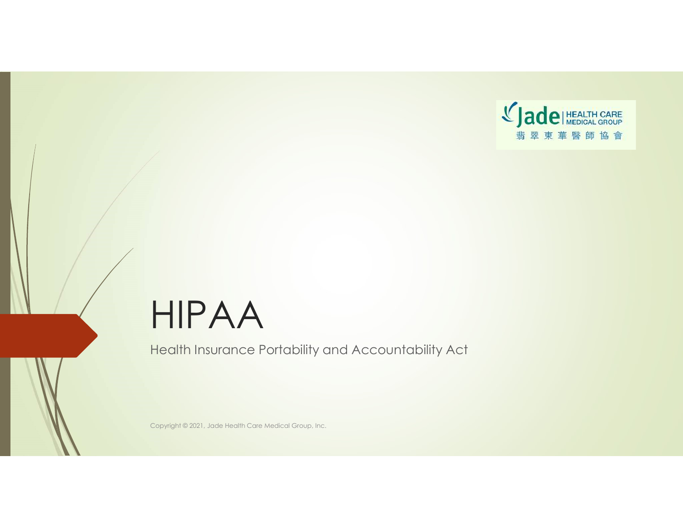

## HIPAA

Health Insurance Portability and Accountability Act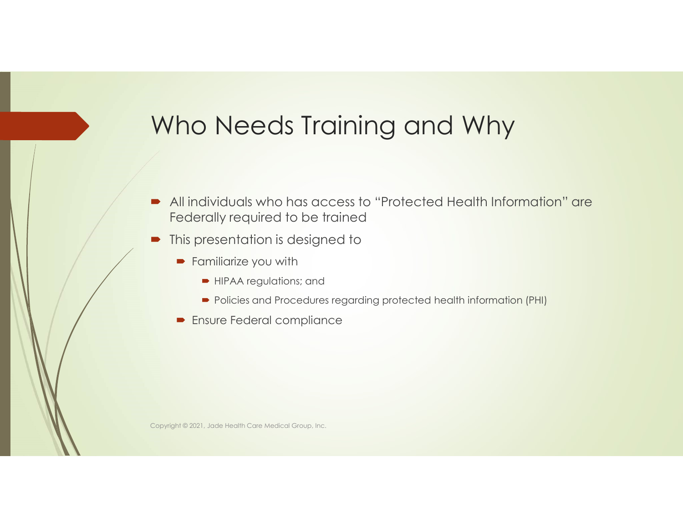#### Who Needs Training and Why

- All individuals who has access to "Protected Health Information" are Federally required to be trained
- This presentation is designed to
	- **Familiarize you with** 
		- **HIPAA regulations; and**
		- **Policies and Procedures regarding protected health information (PHI)**
	- **Ensure Federal compliance**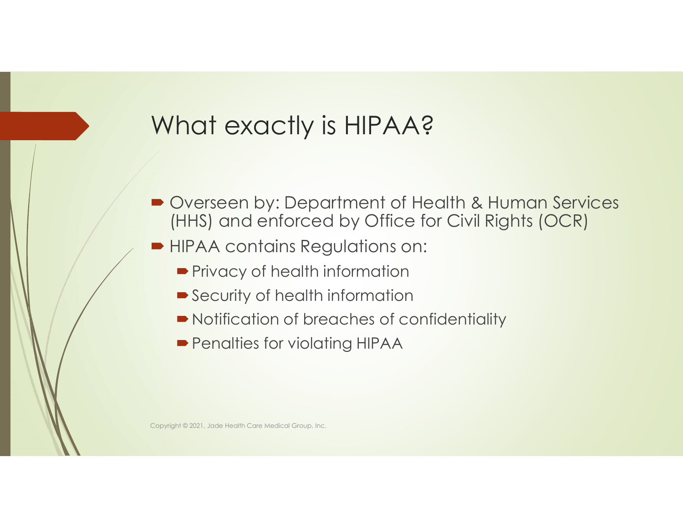#### What exactly is HIPAA?

- Overseen by: Department of Health & Human Services (HHS) and enforced by Office for Civil Rights (OCR)
- HIPAA contains Regulations on:
	- **Privacy of health information**
	- Security of health information
	- Notification of breaches of confidentiality
	- **Penalties for violating HIPAA**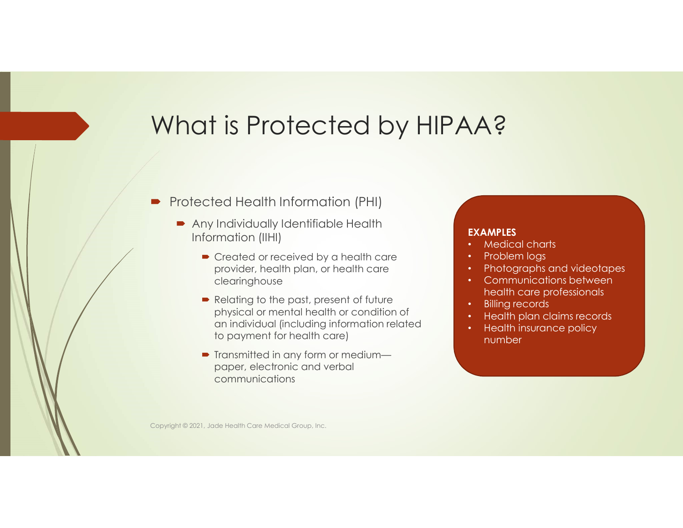#### What is Protected by HIPAA?

- **Protected Health Information (PHI)** 
	- **Any Individually Identifiable Health** Information (IIHI)
		- Created or received by a health care provider, health plan, or health care clearinghouse
		- Relating to the past, present of future physical or mental health or condition of an individual (including information related to payment for health care)
		- Transmitted in any form or mediumpaper, electronic and verbal communications

#### EXAMPLES

- Medical charts
- Problem logs
- Photographs and videotapes
- Communications between health care professionals
- **Billing records**
- Health plan claims records
- Health insurance policy number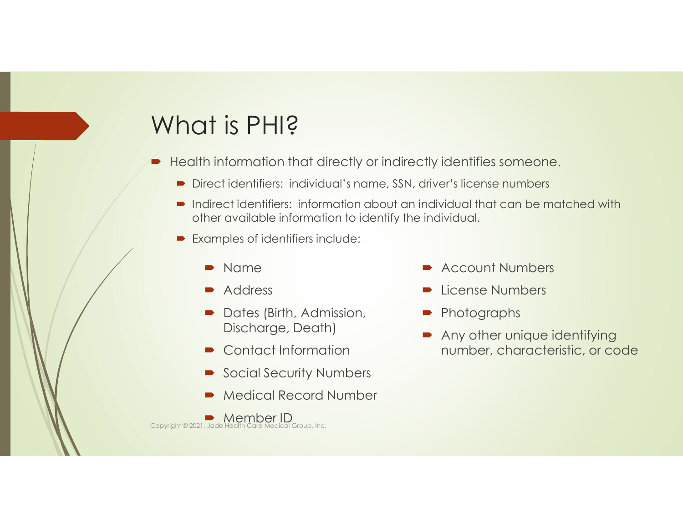#### What is PHI?

- Health information that directly or indirectly identifies someone.
	- Direct identifiers: individual's name, SSN, driver's license numbers
	- **•** Indirect identifiers: information about an individual that can be matched with other available information to identify the individual.
	- **Examples of identifiers include:** 
		- Name
		- Address
		- Dates (Birth, Admission, Discharge, Death)
		- Contact Information
		- Social Security Numbers
		- Medical Record Number

**Member ID**<br>Copyright © 2021, Jade Health Care Medical Group, Inc.

- **Account Numbers**
- License Numbers
- Photographs
- Any other unique identifying number, characteristic, or code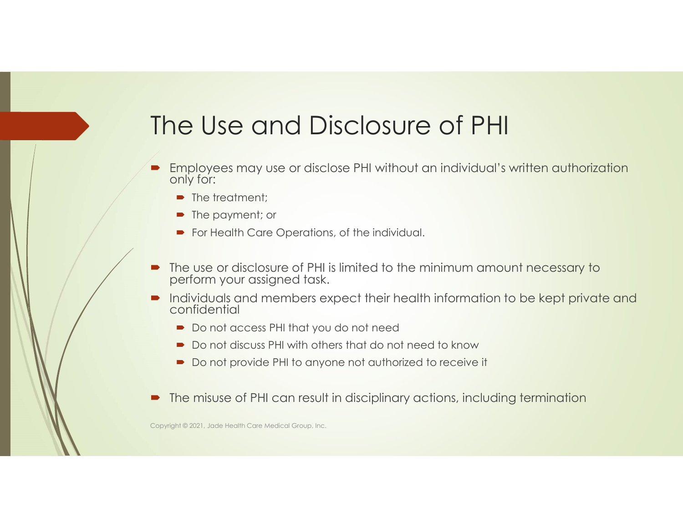#### The Use and Disclosure of PHI

- Employees may use or disclose PHI without an individual's written authorization only for:
	- The treatment;
	- The payment; or
	- **For Health Care Operations, of the individual.**
- The use or disclosure of PHI is limited to the minimum amount necessary to perform your assigned task.
- Individuals and members expect their health information to be kept private and confidential
	- Do not access PHI that you do not need
	- Do not discuss PHI with others that do not need to know
	- Do not provide PHI to anyone not authorized to receive it
- The misuse of PHI can result in disciplinary actions, including termination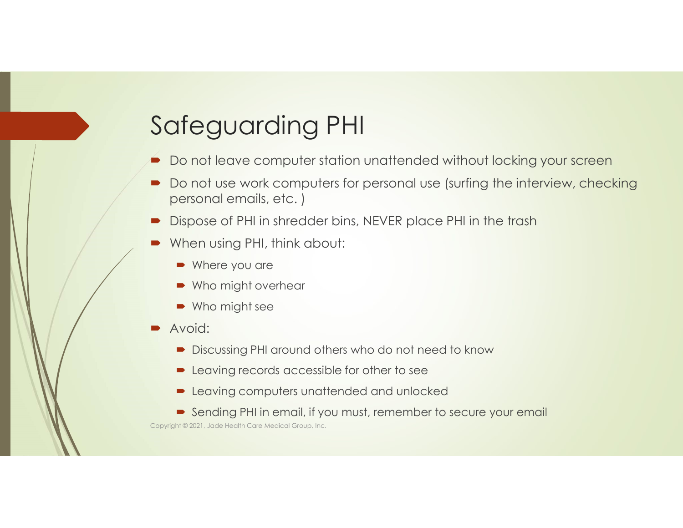#### Safeguarding PHI

- Do not leave computer station unattended without locking your screen
- Do not use work computers for personal use (surfing the interview, checking personal emails, etc. )
- Dispose of PHI in shredder bins, NEVER place PHI in the trash
- When using PHI, think about:
	- Where you are
	- Who might overhear
	- Who might see
- Avoid:
	- Discussing PHI around others who do not need to know
	- **Exercise** Leaving records accessible for other to see
	- **Leaving computers unattended and unlocked**
	- Sending PHI in email, if you must, remember to secure your email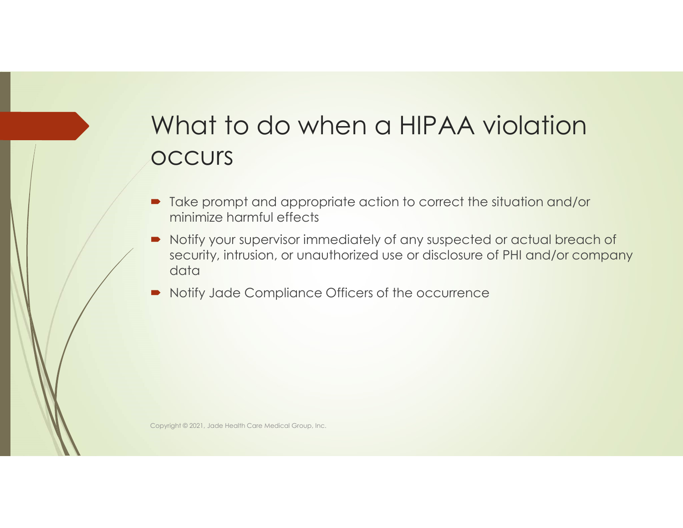#### What to do when a HIPAA violation **OCCUrs**

- Take prompt and appropriate action to correct the situation and/or minimize harmful effects
- Notify your supervisor immediately of any suspected or actual breach of security, intrusion, or unauthorized use or disclosure of PHI and/or company data
- Notify Jade Compliance Officers of the occurrence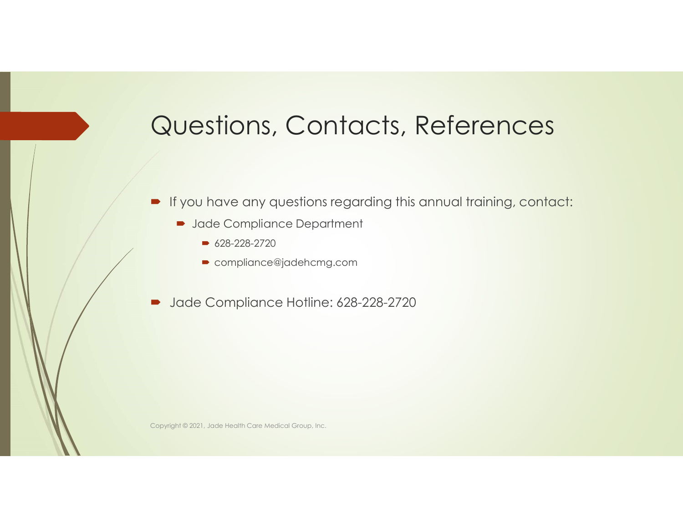#### Questions, Contacts, References

- **If you have any questions regarding this annual training, contact:** 
	- **Department** 
		- $628 228 2720$
		- compliance@jadehcmg.com
- Jade Compliance Hotline: 628-228-2720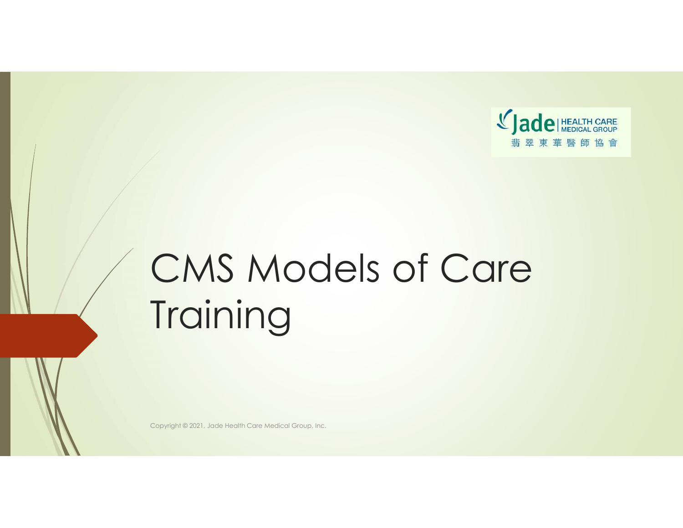

# CMS Models of Care **Training**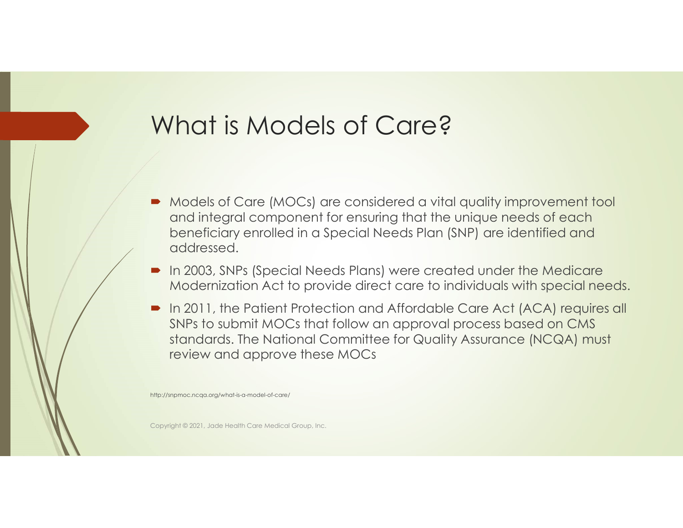#### What is Models of Care?

- **•** Models of Care (MOCs) are considered a vital quality improvement tool and integral component for ensuring that the unique needs of each beneficiary enrolled in a Special Needs Plan (SNP) are identified and addressed.
- **In 2003, SNPs (Special Needs Plans) were created under the Medicare** Modernization Act to provide direct care to individuals with special needs.
- In 2011, the Patient Protection and Affordable Care Act (ACA) requires all SNPs to submit MOCs that follow an approval process based on CMS standards. The National Committee for Quality Assurance (NCQA) must review and approve these MOCs

http://snpmoc.ncqa.org/what-is-a-model-of-care/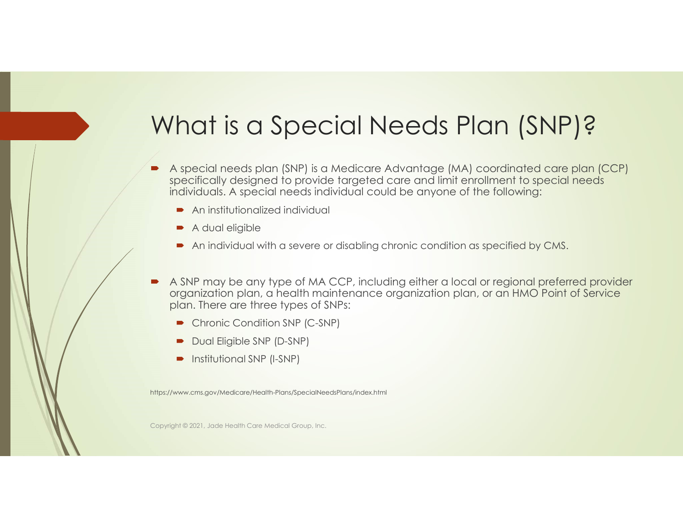#### What is a Special Needs Plan (SNP)?

- A special needs plan (SNP) is a Medicare Advantage (MA) coordinated care plan (CCP) specifically designed to provide targeted care and limit enrollment to special needs individuals. A special needs individual could be anyone of the following:
	- **An institutionalized individual**
	- A dual eligible
	- An individual with a severe or disabling chronic condition as specified by CMS.
- A SNP may be any type of MA CCP, including either a local or regional preferred provider organization plan, a health maintenance organization plan, or an HMO Point of Service plan. There are three types of SNPs:
	- Chronic Condition SNP (C-SNP)
	- Dual Eligible SNP (D-SNP)
	- **Institutional SNP (I-SNP)**

https://www.cms.gov/Medicare/Health-Plans/SpecialNeedsPlans/index.html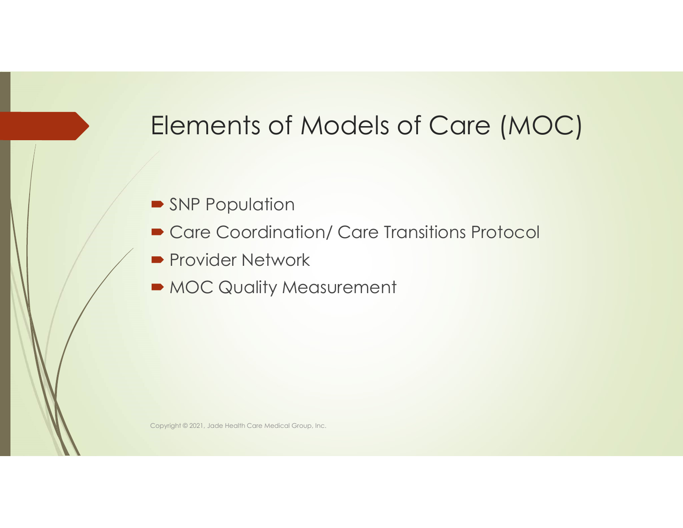### Elements of Models of Care (MOC)

- **SNP Population**
- Care Coordination/ Care Transitions Protocol
- **Provider Network**
- $\blacksquare$  MOC Quality Measurement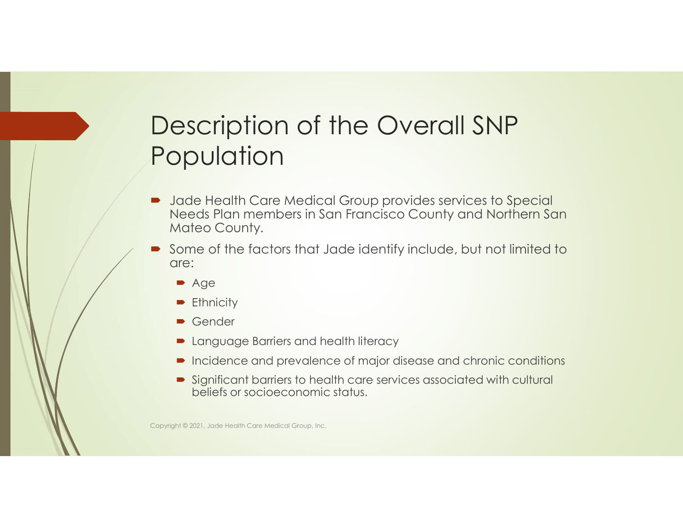#### Description of the Overall SNP Population

- Jade Health Care Medical Group provides services to Special Needs Plan members in San Francisco County and Northern San Mateo County.
- Some of the factors that Jade identify include, but not limited to are:
	- Age
	- **Ethnicity**
	- Gender
	- **D** Language Barriers and health literacy
	- Incidence and prevalence of major disease and chronic conditions
	- Significant barriers to health care services associated with cultural beliefs or socioeconomic status.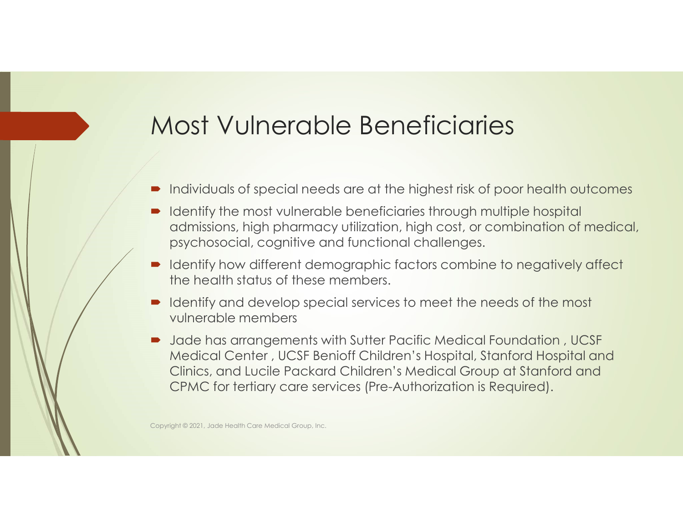#### Most Vulnerable Beneficiaries

- Individuals of special needs are at the highest risk of poor health outcomes
- Identify the most vulnerable beneficiaries through multiple hospital admissions, high pharmacy utilization, high cost, or combination of medical, psychosocial, cognitive and functional challenges.
- Identify how different demographic factors combine to negatively affect the health status of these members.
- Identify and develop special services to meet the needs of the most vulnerable members
- Jade has arrangements with Sutter Pacific Medical Foundation, UCSF Medical Center , UCSF Benioff Children's Hospital, Stanford Hospital and Clinics, and Lucile Packard Children's Medical Group at Stanford and CPMC for tertiary care services (Pre-Authorization is Required).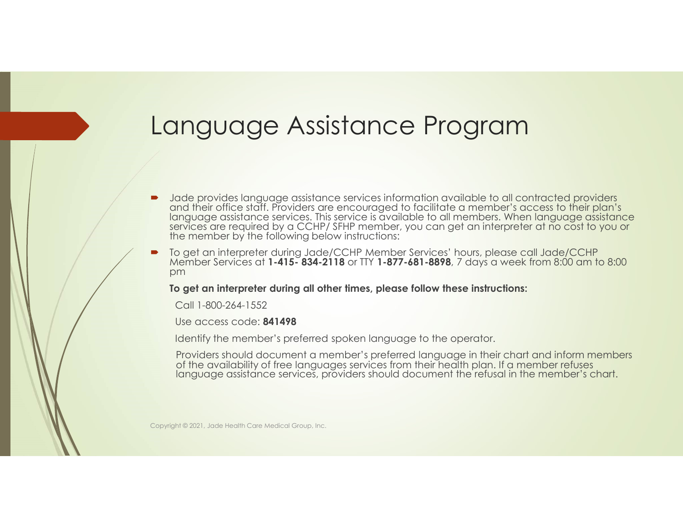#### Language Assistance Program

- Jade provides language assistance services information available to all contracted providers and their office staff. Providers are encouraged to facilitate a member's access to their plan's language assistance services. Th services are required by a CCHP/ SFHP member, you can get an interpreter at no cost to you or the member by the following below instructions: Language Assistance Frogram<br>
Made provides increase and the control of the present of the control of the control of the control of the present and their office sidt. Frovides are encouraged to locilitate a member 3 access
- pm and the contract of the contract of the contract of the contract of the contract of the contract of the contract of the contract of the contract of the contract of the contract of the contract of the contract of the con

To get an interpreter during all other times, please follow these instructions:

Call 1-800-264-1552

Use access code: 841498

Identify the member's preferred spoken language to the operator.

Providers should document a member's preferred language in their chart and inform members of the availability of free languages services from their health plan. If a member refuses language assistance services, providers should document the refusal in the member's chart.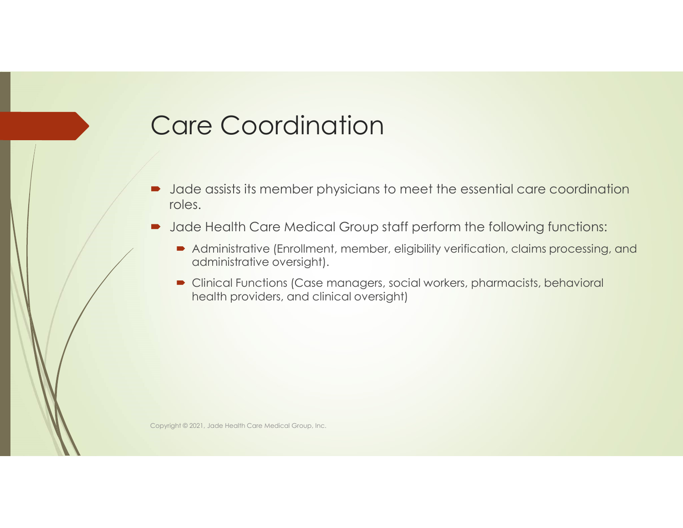#### Care Coordination

- Jade assists its member physicians to meet the essential care coordination roles.
- **D** Jade Health Care Medical Group staff perform the following functions:
	- Administrative (Enrollment, member, eligibility verification, claims processing, and administrative oversight).
	- Clinical Functions (Case managers, social workers, pharmacists, behavioral health providers, and clinical oversight)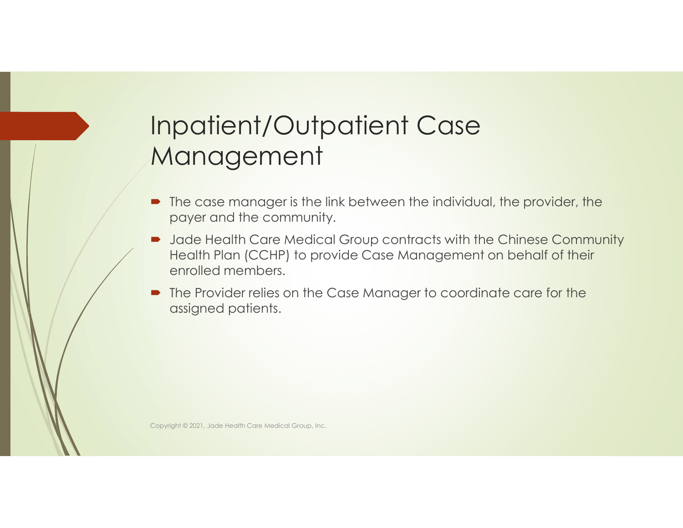#### Inpatient/Outpatient Case Management

- The case manager is the link between the individual, the provider, the payer and the community.
- Jade Health Care Medical Group contracts with the Chinese Community Health Plan (CCHP) to provide Case Management on behalf of their enrolled members.
- The Provider relies on the Case Manager to coordinate care for the assigned patients.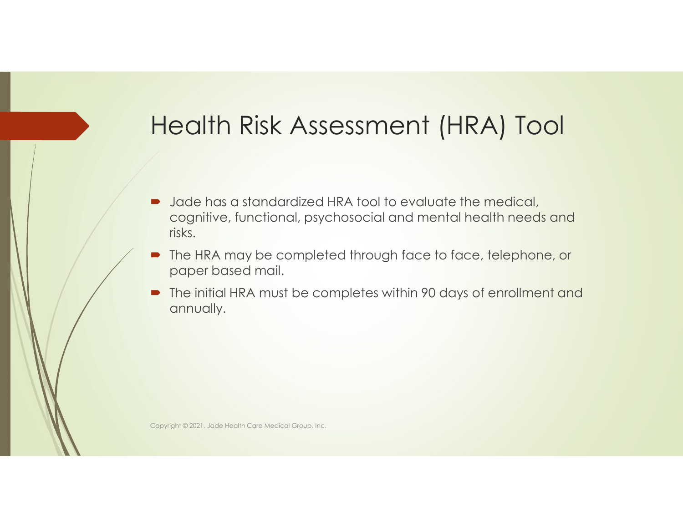#### Health Risk Assessment (HRA) Tool

- **D** Jade has a standardized HRA tool to evaluate the medical, cognitive, functional, psychosocial and mental health needs and risks.
- The HRA may be completed through face to face, telephone, or paper based mail.
- The initial HRA must be completes within 90 days of enrollment and annually.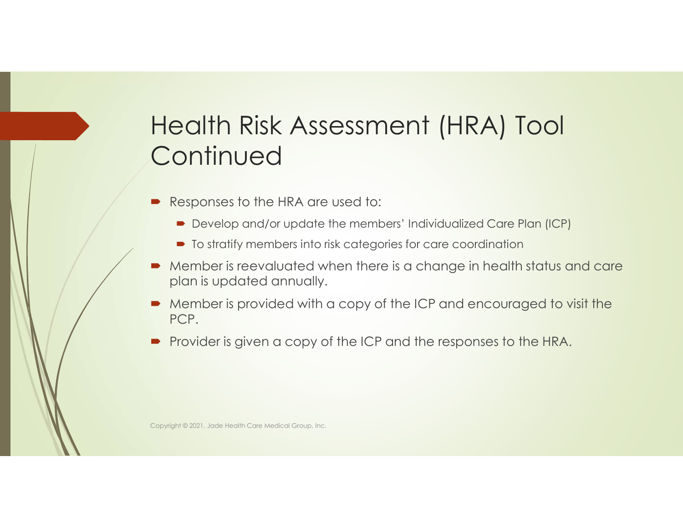#### Health Risk Assessment (HRA) Tool **Continued**

- Responses to the HRA are used to:
	- Develop and/or update the members' Individualized Care Plan (ICP)
	- $\blacksquare$  To stratify members into risk categories for care coordination
- Member is reevaluated when there is a change in health status and care plan is updated annually.
- Member is provided with a copy of the ICP and encouraged to visit the PCP.
- Provider is given a copy of the ICP and the responses to the HRA.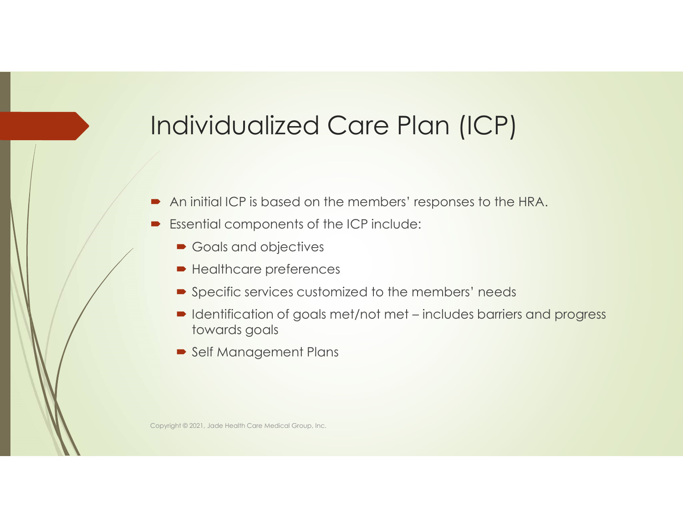#### Individualized Care Plan (ICP)

- An initial ICP is based on the members' responses to the HRA.
- **Essential components of the ICP include:** 
	- Goals and objectives
	- Healthcare preferences
	- **Specific services customized to the members' needs**
- **COMBUNG COMBUNG (STAN)**<br>
In initial ICP is based on the members' responses to the HRA.<br>
Ssential components of the ICP include:<br>
<br>
 Goals and objectives<br>
 Healthcare preferences<br>
 Specific services customized to the me towards goals
	- Self Management Plans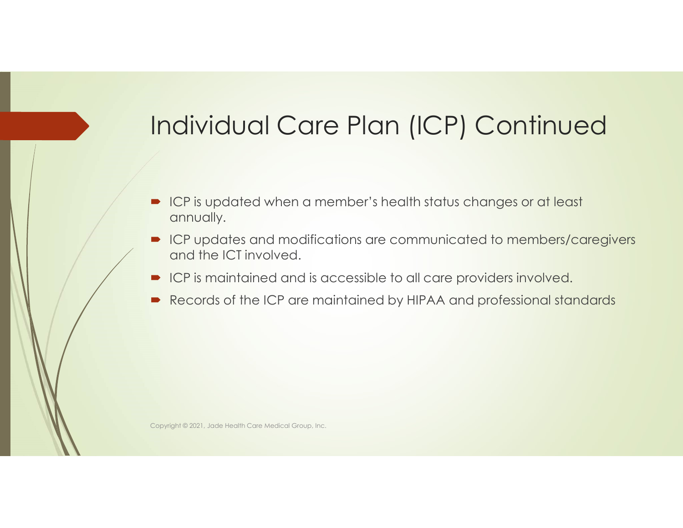# Individual Care Plan (ICP) Continued

- ICP is updated when a member's health status changes or at least annually.
- ICP updates and modifications are communicated to members/caregivers and the ICT involved.
- **ICP** is maintained and is accessible to all care providers involved.
- Records of the ICP are maintained by HIPAA and professional standards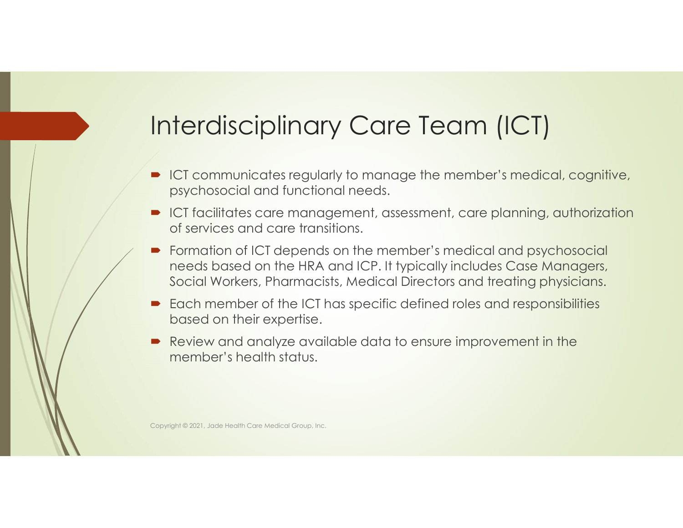# Interdisciplinary Care Team (ICT)

- ICT communicates regularly to manage the member's medical, cognitive, psychosocial and functional needs.
- ICT facilitates care management, assessment, care planning, authorization of services and care transitions.
- Formation of ICT depends on the member's medical and psychosocial needs based on the HRA and ICP. It typically includes Case Managers, Social Workers, Pharmacists, Medical Directors and treating physicians.
- Each member of the ICT has specific defined roles and responsibilities based on their expertise.
- Review and analyze available data to ensure improvement in the member's health status.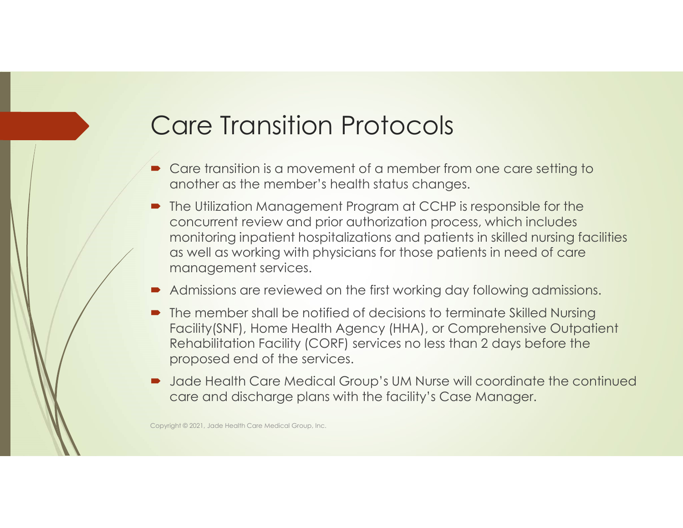### Care Transition Protocols

- Care transition is a movement of a member from one care setting to another as the member's health status changes.
- The Utilization Management Program at CCHP is responsible for the concurrent review and prior authorization process, which includes monitoring inpatient hospitalizations and patients in skilled nursing facilities as well as working with physicians for those patients in need of care management services.
- Admissions are reviewed on the first working day following admissions.
- The member shall be notified of decisions to terminate Skilled Nursing Facility(SNF), Home Health Agency (HHA), or Comprehensive Outpatient Rehabilitation Facility (CORF) services no less than 2 days before the proposed end of the services.
- Jade Health Care Medical Group's UM Nurse will coordinate the continued care and discharge plans with the facility's Case Manager.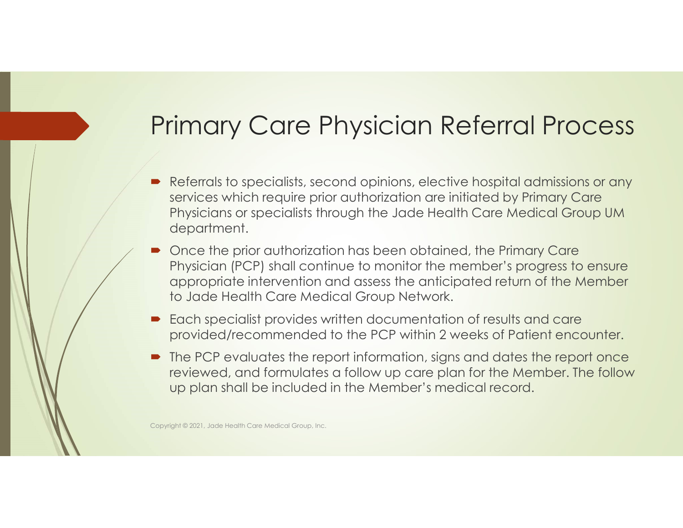#### Primary Care Physician Referral Process

- Referrals to specialists, second opinions, elective hospital admissions or any services which require prior authorization are initiated by Primary Care Physicians or specialists through the Jade Health Care Medical Group UM department.
- Once the prior authorization has been obtained, the Primary Care Physician (PCP) shall continue to monitor the member's progress to ensure appropriate intervention and assess the anticipated return of the Member to Jade Health Care Medical Group Network.
- Each specialist provides written documentation of results and care provided/recommended to the PCP within 2 weeks of Patient encounter.
- The PCP evaluates the report information, signs and dates the report once reviewed, and formulates a follow up care plan for the Member. The follow up plan shall be included in the Member's medical record.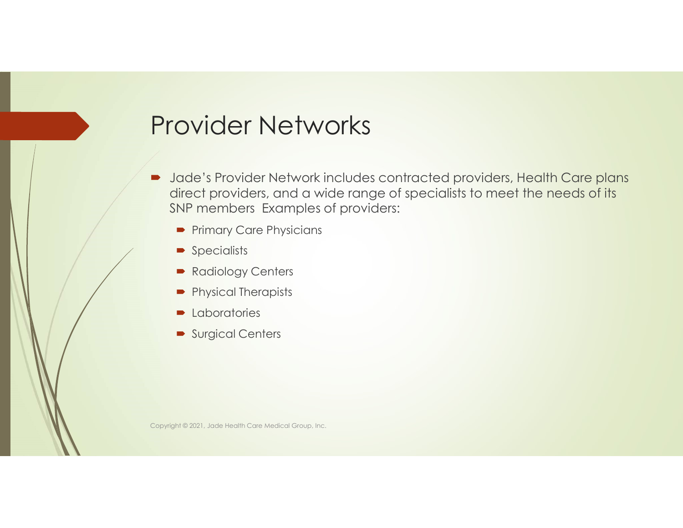#### Provider Networks

- Jade's Provider Network includes contracted providers, Health Care plans direct providers, and a wide range of specialists to meet the needs of its SNP members Examples of providers:
	- **Primary Care Physicians**
	- **Specialists**
	- Radiology Centers
	- **Physical Therapists**
	- **Laboratories**
	- **Surgical Centers**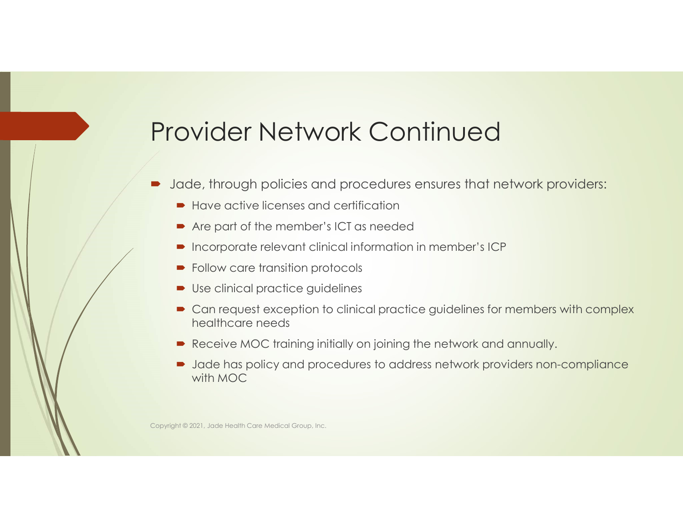#### Provider Network Continued

- Jade, through policies and procedures ensures that network providers:
	- Have active licenses and certification
	- Are part of the member's ICT as needed
	- Incorporate relevant clinical information in member's ICP
	- Follow care transition protocols
	- Use clinical practice guidelines
	- **Can request exception to clinical practice guidelines for members with complex** healthcare needs
	- Receive MOC training initially on joining the network and annually.
	- Jade has policy and procedures to address network providers non-compliance with MOC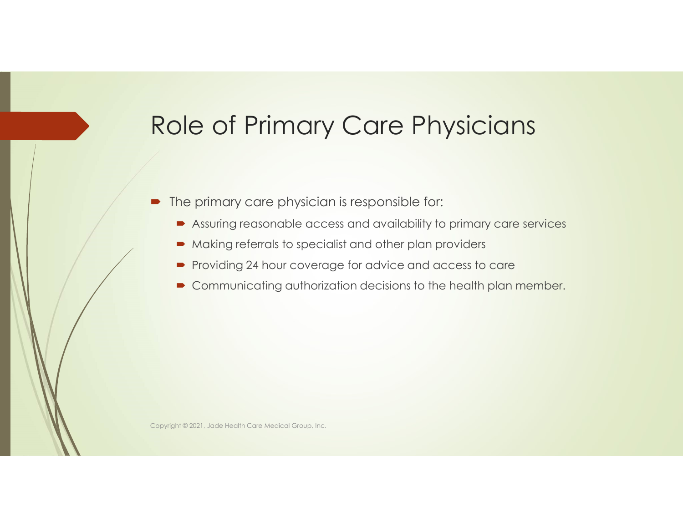### Role of Primary Care Physicians

- The primary care physician is responsible for:
	- Assuring reasonable access and availability to primary care services
	- Making referrals to specialist and other plan providers
	- **Providing 24 hour coverage for advice and access to care**
	- **Communicating authorization decisions to the health plan member.**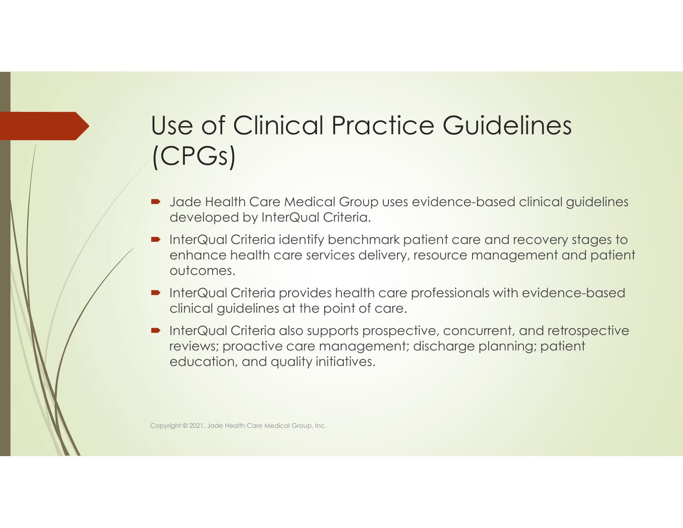# Use of Clinical Practice Guidelines (CPGs) se of Clinical Practice Guidelines<br>CPGs)<br>Jade Health Care Medical Group uses evidence-based clinical guidel<br>developed by InterQual Criteria.<br>InterQual Criteria identify benchmark patient care and recovery stage<br>enhance hea Use of Clinical Practice Guidelines<br>
(CPGs)<br>
• Jade Health Care Medical Group uses evidence-based clinical guidelines<br>
• InterQual Criteria identify benchmark patient care and recovery stages to<br>
• InterQual Criteria revic Use of Clinical Practice Guidelines<br>
(CPGs)<br>
• Jade Health Care Medical Group uses evidence-based clinical guidelines<br>
developed by InterQual Criteria.<br>
• InterQual Criteria identify benchmark patient care and recovery sta Use of Clinical Practice Guidelines<br>
(CPGs)<br>
• Jade Health Care Medical Group uses evidence-based clinical guidelines<br>
developed by InterQual Criteria.<br>
• InterQual Criteria identify benchmark patient care and recovery sta

- Jade Health Care Medical Group uses evidence-based clinical quidelines
- enhance health care services delivery, resource management and patient outcomes.
- clinical guidelines at the point of care.
- reviews; proactive care management; discharge planning; patient education, and quality initiatives.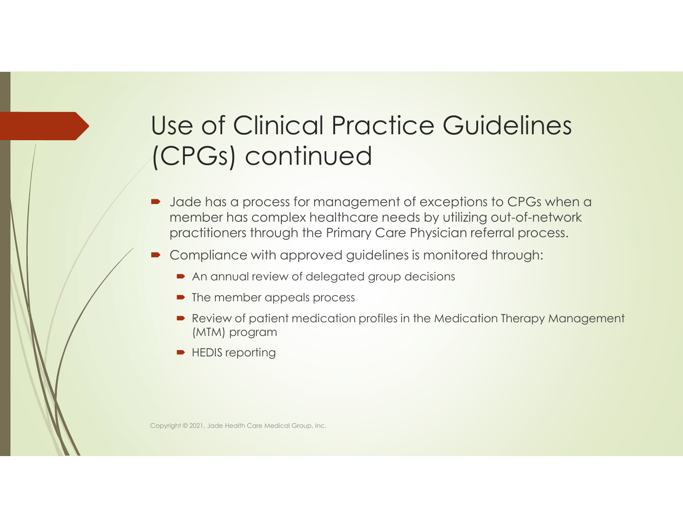### Use of Clinical Practice Guidelines (CPGs) continued

- $\blacksquare$  Jade has a process for management of exceptions to CPGs when a member has complex healthcare needs by utilizing out-of-network practitioners through the Primary Care Physician referral process.
- Compliance with approved guidelines is monitored through:
	- An annual review of delegated group decisions
	- The member appeals process
	- Review of patient medication profiles in the Medication Therapy Management (MTM) program
	- **HEDIS reporting**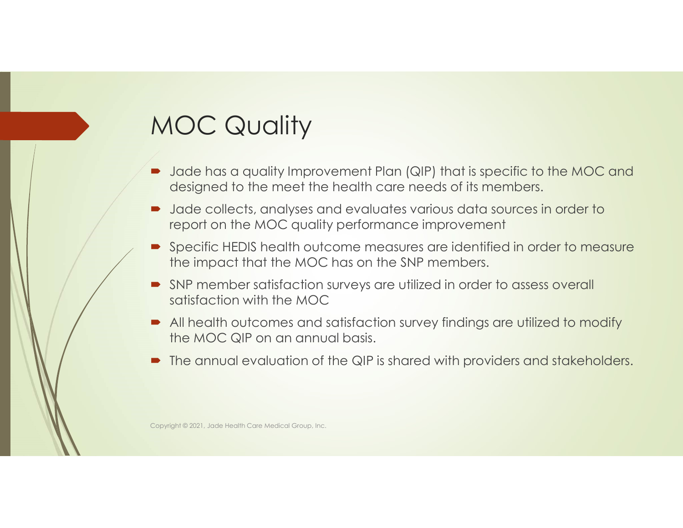### MOC Quality

- Jade has a quality Improvement Plan (QIP) that is specific to the MOC and designed to the meet the health care needs of its members.
- Jade collects, analyses and evaluates various data sources in order to report on the MOC quality performance improvement
- Specific HEDIS health outcome measures are identified in order to measure the impact that the MOC has on the SNP members.
- SNP member satisfaction surveys are utilized in order to assess overall satisfaction with the MOC
- All health outcomes and satisfaction survey findings are utilized to modify the MOC QIP on an annual basis.
- The annual evaluation of the QIP is shared with providers and stakeholders.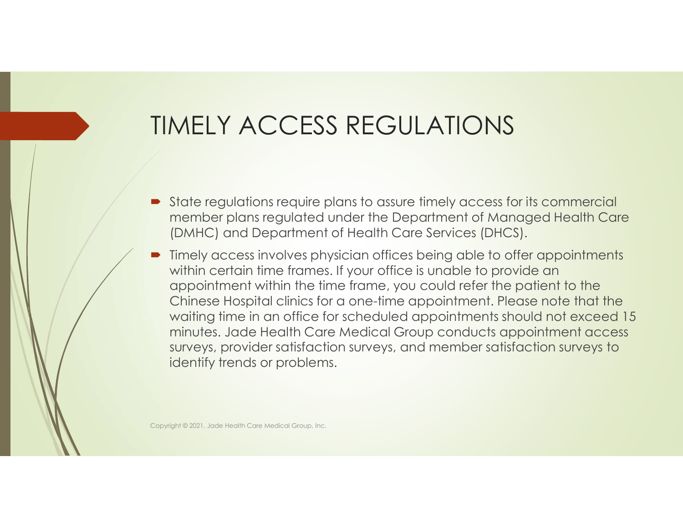### TIMELY ACCESS REGULATIONS

- State requidions require plans to assure timely access for its commercial member plans regulated under the Department of Managed Health Care (DMHC) and Department of Health Care Services (DHCS).
- Timely access involves physician offices being able to offer appointments within certain time frames. If your office is unable to provide an appointment within the time frame, you could refer the patient to the Chinese Hospital clinics for a one-time appointment. Please note that the waiting time in an office for scheduled appointments should not exceed 15 minutes. Jade Health Care Medical Group conducts appointment access surveys, provider satisfaction surveys, and member satisfaction surveys to identify trends or problems.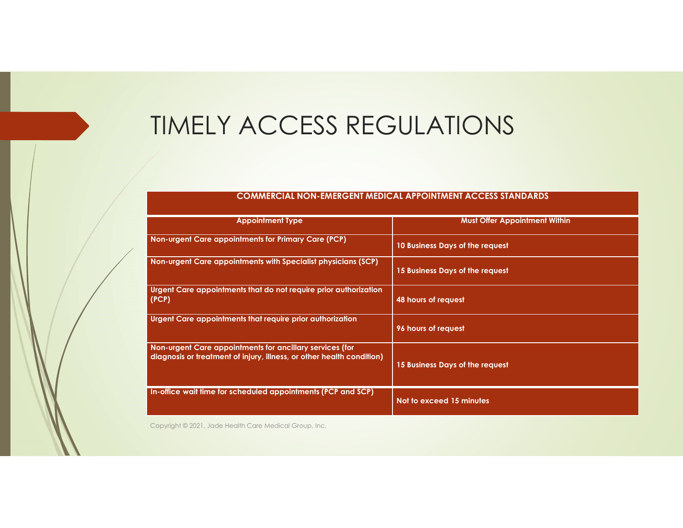#### TIMELY ACCESS REGULATIONS

#### COMMERCIAL NON-EMERGENT MEDICAL APPOINTMENT ACCESS STANDARDS

| <b>TIMELY ACCESS REGULATIONS</b>                                                                                                  |                                                                     |
|-----------------------------------------------------------------------------------------------------------------------------------|---------------------------------------------------------------------|
|                                                                                                                                   | <b>COMMERCIAL NON-EMERGENT MEDICAL APPOINTMENT ACCESS STANDARDS</b> |
| <b>Appointment Type</b>                                                                                                           | <b>Must Offer Appointment Within</b>                                |
| Non-urgent Care appointments for Primary Care (PCP)                                                                               |                                                                     |
|                                                                                                                                   | 10 Business Days of the request                                     |
| Non-urgent Care appointments with Specialist physicians (SCP)                                                                     | 15 Business Days of the request                                     |
| Urgent Care appointments that do not require prior authorization<br>(PCP)                                                         | 48 hours of request                                                 |
| Urgent Care appointments that require prior authorization                                                                         | 96 hours of request                                                 |
| Non-urgent Care appointments for ancillary services (for<br>diagnosis or treatment of injury, illness, or other health condition) | 15 Business Days of the request                                     |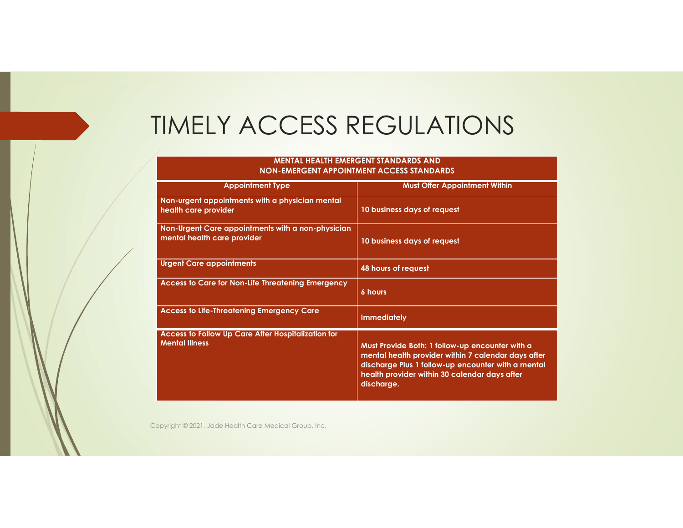#### TIMELY ACCESS REGULATIONS

#### MENTAL HEALTH EMERGENT STANDARDS AND NON-EMERGENT APPOINTMENT ACCESS STANDARDS

| <b>TIMELY ACCESS REGULATIONS</b>                                                 |                                      |
|----------------------------------------------------------------------------------|--------------------------------------|
| <b>MENTAL HEALTH EMERGENT STANDARDS AND</b>                                      |                                      |
| <b>NON-EMERGENT APPOINTMENT ACCESS STANDARDS</b>                                 |                                      |
| <b>Appointment Type</b>                                                          | <b>Must Offer Appointment Within</b> |
|                                                                                  |                                      |
| Non-urgent appointments with a physician mental<br>health care provider          | 10 business days of request          |
| Non-Urgent Care appointments with a non-physician<br>mental health care provider | 10 business days of request          |
| <b>Urgent Care appointments</b>                                                  | 48 hours of request                  |
| Access to Care for Non-Life Threatening Emergency                                | <b>6 hours</b>                       |
| <b>Access to Life-Threatening Emergency Care</b>                                 | <b>Immediately</b>                   |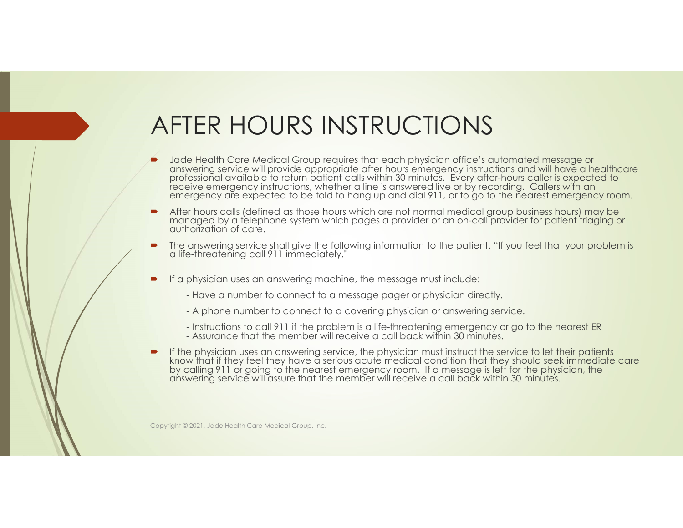#### AFTER HOURS INSTRUCTIONS

- Jade Health Care Medical Group requires that each physician office's automated message or<br>answering service will provide appropriate after hours emergency instructions and will have a healthcare<br>professional available to r emergency are expected to be told to hang up and dial 911, or to go to the nearest emergency room. FR HOURS INSTRUCTIONS<br>
e Health Care Medical Group requires that each physician office's automated message<br>
wering service will provide appropriate after hours emergency instructions and will have<br>
essional available to re FER HOURS INSTRUCTIONS<br>
eleadit Crac Melicial Group requires that each physician office's automated message or<br>
evering service will provide appropriate after hours emergency instructions and will have a he<br>
essignoid avai **AFTER HOURS INSTRUCTIONS**<br> **INSTRUCTIONS**<br>
Interferistion office's automated message or<br>
material series will provide a proportion estimate the fluore method method and with the can<br>
prove signal of the proportion of
- After hours calls (defined as those hours which are not normal medical group business hours) may be managed by a telephone system which pages a provider or an on-call provider for patient triaging or authorization of care.
- The answering service shall give the following information to the patient. "If you feel that your problem is a life-threatening call 911 immediately."
- If a physician uses an answering machine, the message must include:
	-
	-
	-
	-
- by calling 911 or going to the nearest emergency room. If a message is left for the physician, the answering service will assure that the member will receive a call back within 30 minutes.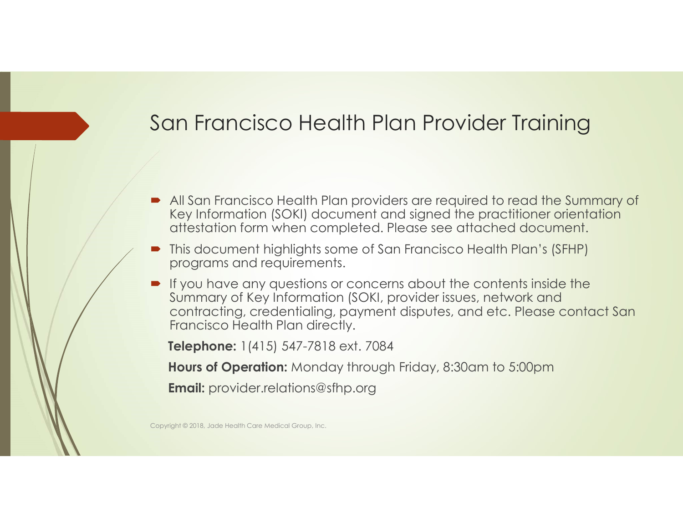#### San Francisco Health Plan Provider Training

- All San Francisco Health Plan providers are required to read the Summary of Key Information (SOKI) document and signed the practitioner orientation attestation form when completed. Please see attached document.
- This document highlights some of San Francisco Health Plan's (SFHP) programs and requirements.
- **If you have any questions or concerns about the contents inside the** Summary of Key Information (SOKI, provider issues, network and contracting, credentialing, payment disputes, and etc. Please contact San Francisco Health Plan directly.

Telephone: 1(415) 547-7818 ext. 7084

Hours of Operation: Monday through Friday, 8:30am to 5:00pm

**Email:** provider.relations@sfhp.org